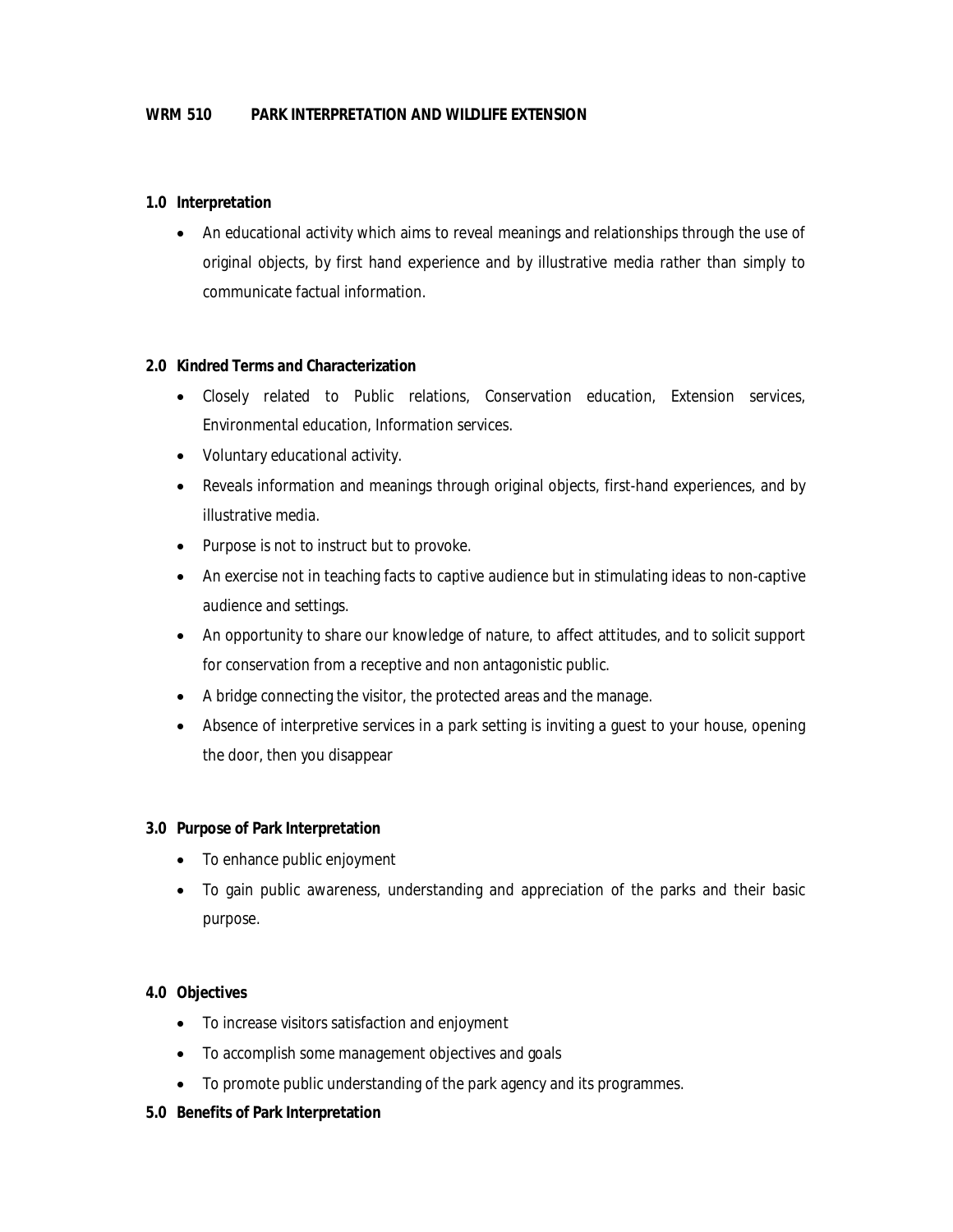#### **1.0 Interpretation**

 An educational activity which aims to reveal meanings and relationships through the use of original objects, by first hand experience and by illustrative media rather than simply to communicate factual information.

#### **2.0 Kindred Terms and Characterization**

- Closely related to Public relations, Conservation education, Extension services, Environmental education, Information services.
- Voluntary educational activity.
- Reveals information and meanings through original objects, first-hand experiences, and by illustrative media.
- Purpose is not to instruct but to provoke.
- An exercise not in teaching facts to captive audience but in stimulating ideas to non-captive audience and settings.
- An opportunity to share our knowledge of nature, to affect attitudes, and to solicit support for conservation from a receptive and non antagonistic public.
- A bridge connecting the visitor, the protected areas and the manage.
- Absence of interpretive services in a park setting is inviting a guest to your house, opening the door, then you disappear

### **3.0 Purpose of Park Interpretation**

- To enhance public enjoyment
- To gain public awareness, understanding and appreciation of the parks and their basic purpose.

### **4.0 Objectives**

- To increase visitors satisfaction and enjoyment
- To accomplish some management objectives and goals
- To promote public understanding of the park agency and its programmes.

### **5.0 Benefits of Park Interpretation**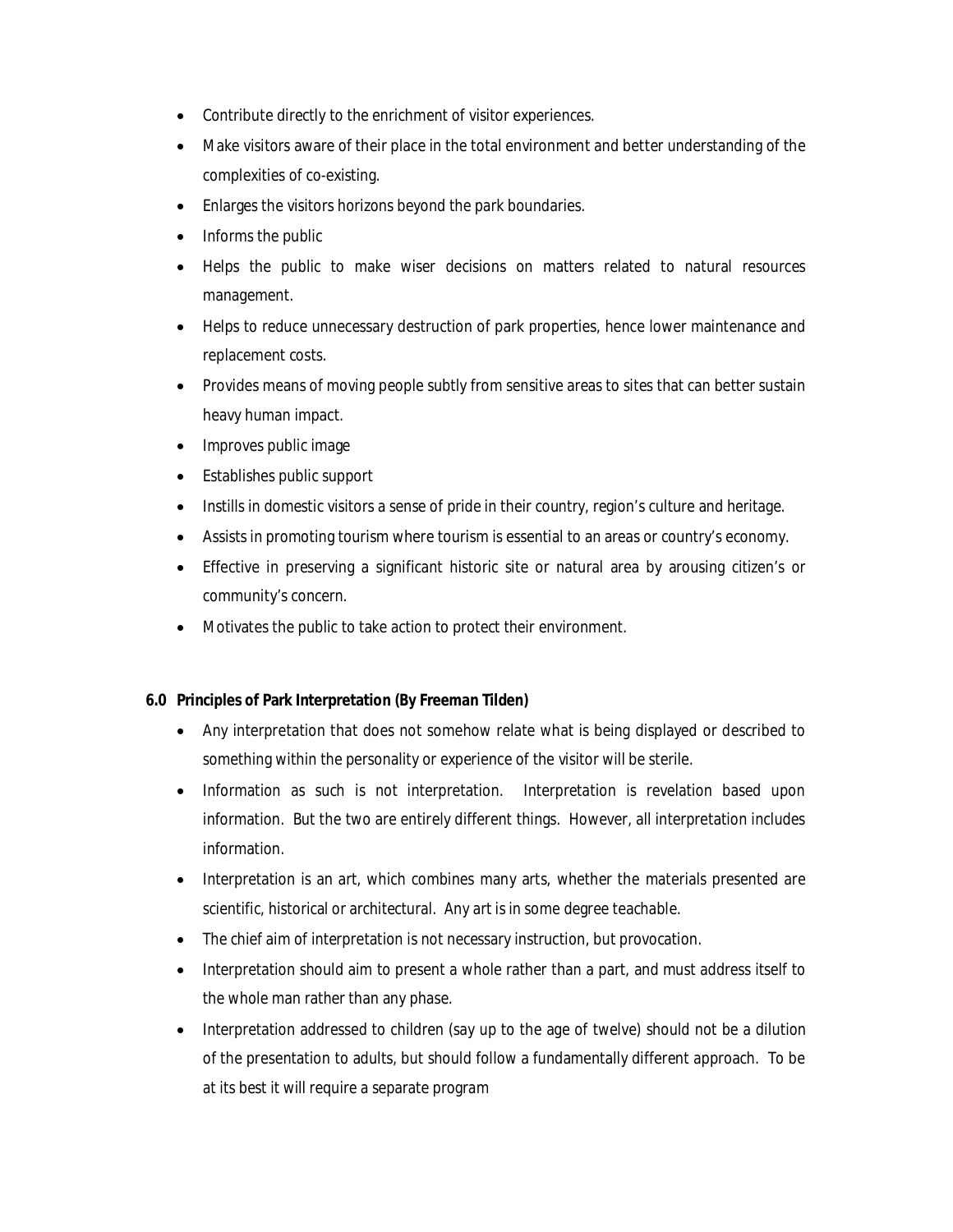- Contribute directly to the enrichment of visitor experiences.
- Make visitors aware of their place in the total environment and better understanding of the complexities of co-existing.
- Enlarges the visitors horizons beyond the park boundaries.
- Informs the public
- Helps the public to make wiser decisions on matters related to natural resources management.
- Helps to reduce unnecessary destruction of park properties, hence lower maintenance and replacement costs.
- Provides means of moving people subtly from sensitive areas to sites that can better sustain heavy human impact.
- Improves public image
- Establishes public support
- Instills in domestic visitors a sense of pride in their country, region's culture and heritage.
- Assists in promoting tourism where tourism is essential to an areas or country's economy.
- Effective in preserving a significant historic site or natural area by arousing citizen's or community's concern.
- Motivates the public to take action to protect their environment.

# **6.0 Principles of Park Interpretation (By Freeman Tilden)**

- Any interpretation that does not somehow relate what is being displayed or described to something within the personality or experience of the visitor will be sterile.
- Information as such is not interpretation. Interpretation is revelation based upon information. But the two are entirely different things. However, all interpretation includes information.
- Interpretation is an art, which combines many arts, whether the materials presented are scientific, historical or architectural. Any art is in some degree teachable.
- The chief aim of interpretation is not necessary instruction, but provocation.
- Interpretation should aim to present a whole rather than a part, and must address itself to the whole man rather than any phase.
- Interpretation addressed to children (say up to the age of twelve) should not be a dilution of the presentation to adults, but should follow a fundamentally different approach. To be at its best it will require a separate program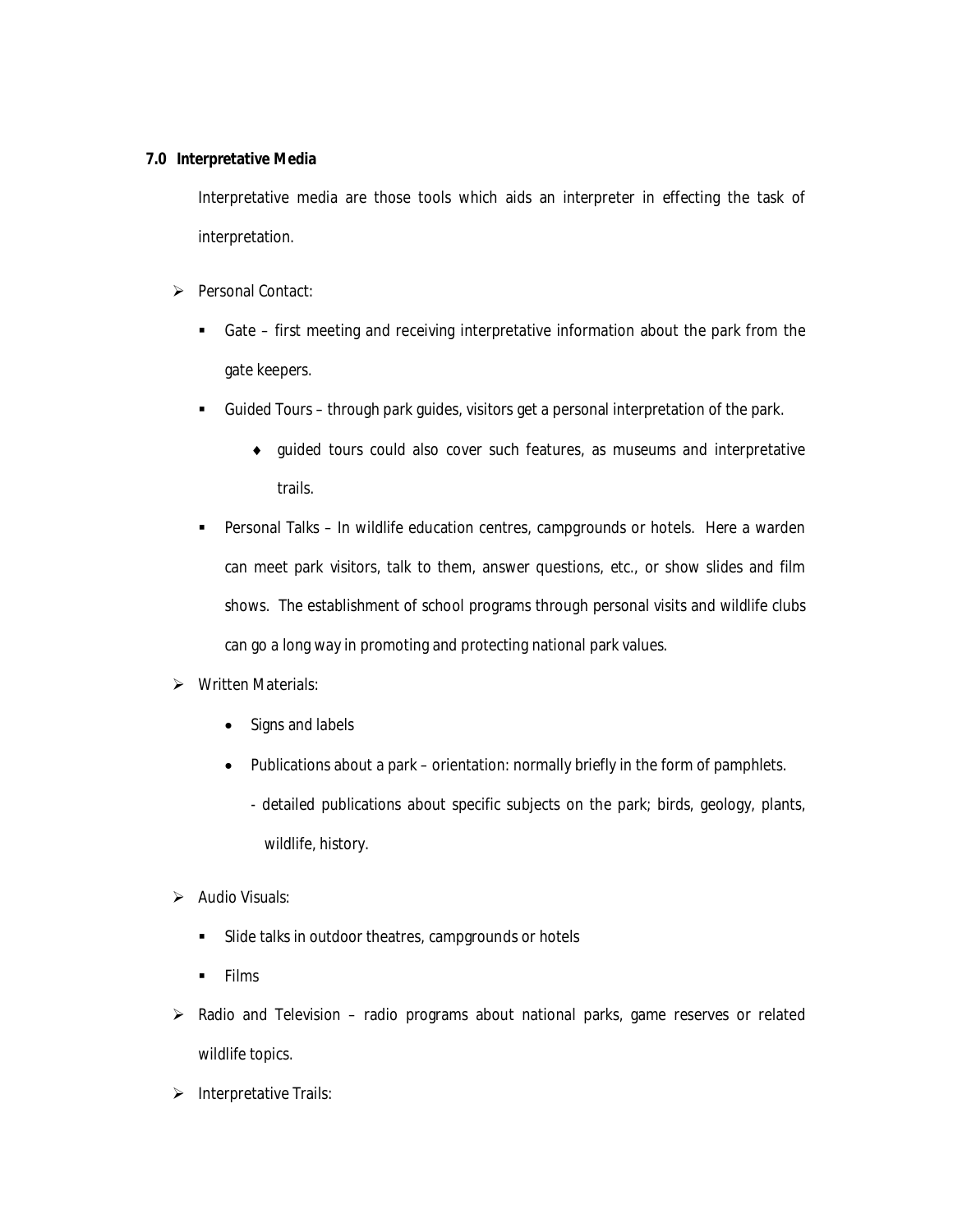### **7.0 Interpretative Media**

Interpretative media are those tools which aids an interpreter in effecting the task of interpretation.

- Personal Contact:
	- Gate first meeting and receiving interpretative information about the park from the gate keepers.
	- Guided Tours through park guides, visitors get a personal interpretation of the park.
		- guided tours could also cover such features, as museums and interpretative trails.
	- Personal Talks In wildlife education centres, campgrounds or hotels. Here a warden can meet park visitors, talk to them, answer questions, etc., or show slides and film shows. The establishment of school programs through personal visits and wildlife clubs can go a long way in promoting and protecting national park values.

# ▶ Written Materials:

- Signs and labels
- Publications about a park orientation: normally briefly in the form of pamphlets.
	- detailed publications about specific subjects on the park; birds, geology, plants, wildlife, history.
- $\triangleright$  Audio Visuals:
	- Slide talks in outdoor theatres, campgrounds or hotels
	- $\blacksquare$  Films
- $\triangleright$  Radio and Television radio programs about national parks, game reserves or related wildlife topics.
- $\triangleright$  Interpretative Trails: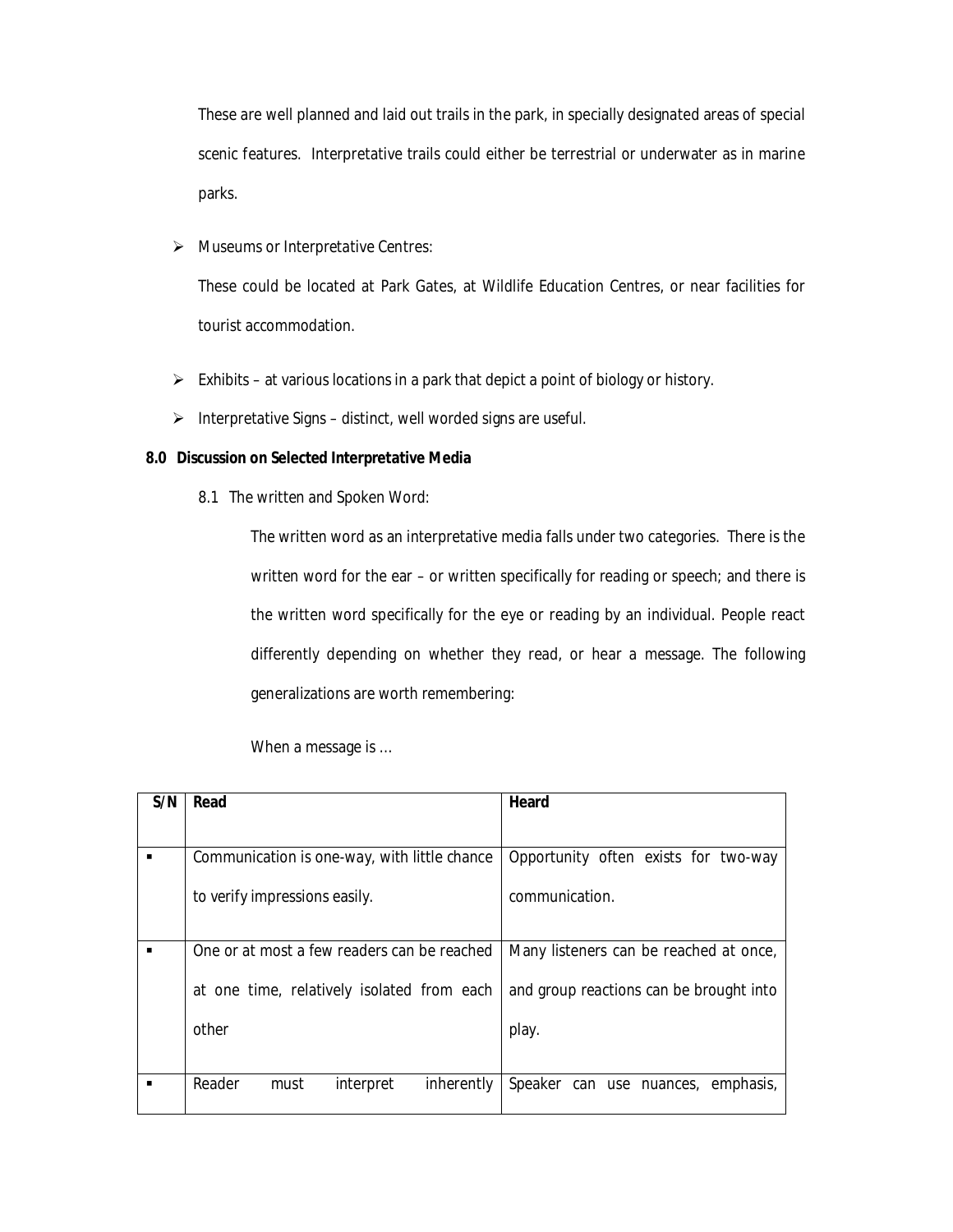These are well planned and laid out trails in the park, in specially designated areas of special scenic features. Interpretative trails could either be terrestrial or underwater as in marine parks.

> Museums or Interpretative Centres:

These could be located at Park Gates, at Wildlife Education Centres, or near facilities for tourist accommodation.

- $\triangleright$  Exhibits at various locations in a park that depict a point of biology or history.
- $\triangleright$  Interpretative Signs distinct, well worded signs are useful.

### **8.0 Discussion on Selected Interpretative Media**

8.1 The written and Spoken Word:

The written word as an interpretative media falls under two categories. There is the written word for the ear – or written specifically for reading or speech; and there is the written word specifically for the eye or reading by an individual. People react differently depending on whether they read, or hear a message. The following generalizations are worth remembering:

| S/N | Read                                         | Heard                                   |
|-----|----------------------------------------------|-----------------------------------------|
|     |                                              |                                         |
|     | Communication is one-way, with little chance | Opportunity often exists for two-way    |
|     | to verify impressions easily.                | communication.                          |
|     | One or at most a few readers can be reached  | Many listeners can be reached at once,  |
|     | at one time, relatively isolated from each   | and group reactions can be brought into |
|     | other                                        | play.                                   |
|     |                                              |                                         |
|     | Reader<br>inherently<br>interpret<br>must    | Speaker can use nuances, emphasis,      |

When a message is …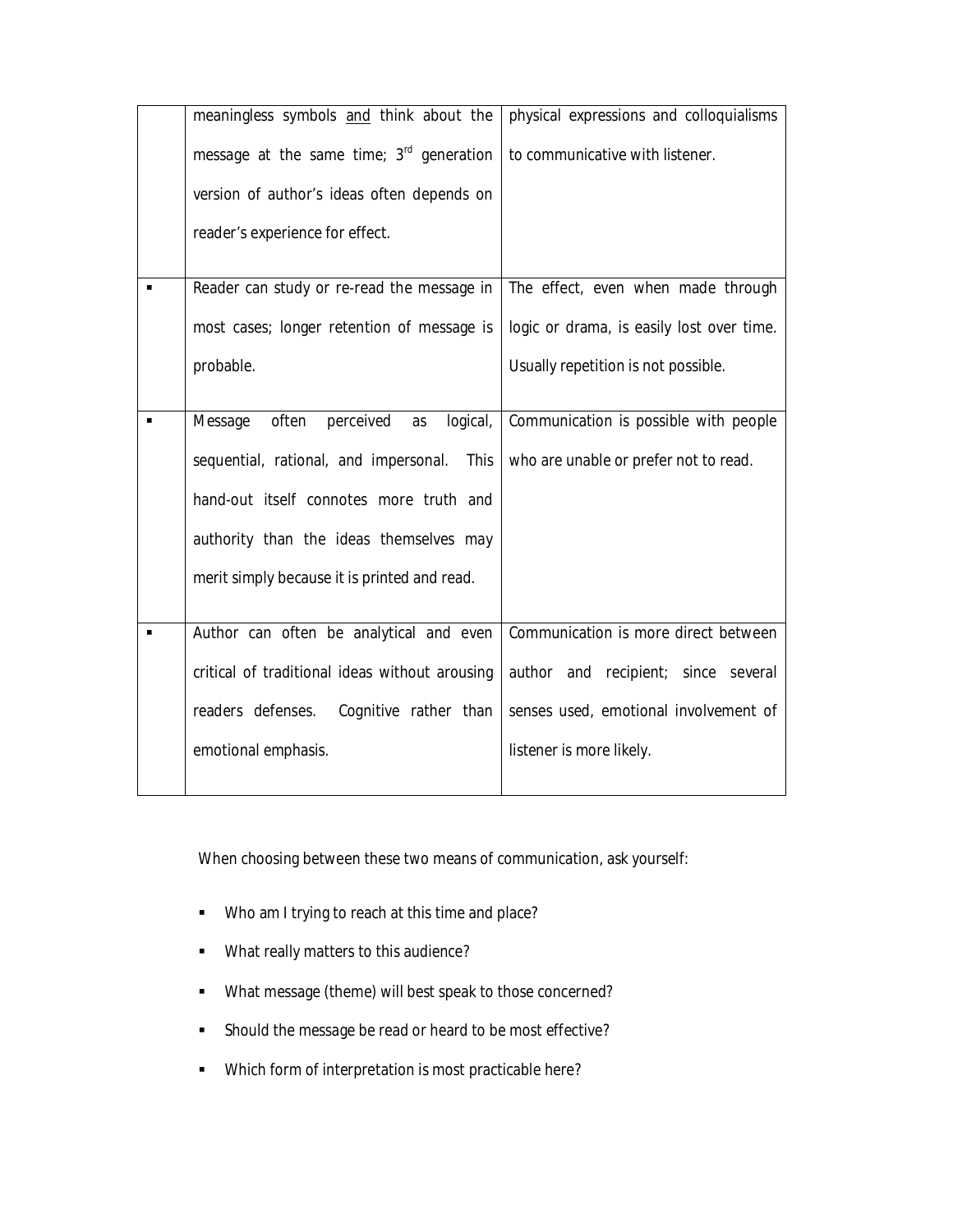| meaningless symbols and think about the         | physical expressions and colloquialisms   |
|-------------------------------------------------|-------------------------------------------|
| message at the same time; 3rd generation        | to communicative with listener.           |
| version of author's ideas often depends on      |                                           |
| reader's experience for effect.                 |                                           |
| Reader can study or re-read the message in      | The effect, even when made through        |
| most cases; longer retention of message is      | logic or drama, is easily lost over time. |
| probable.                                       | Usually repetition is not possible.       |
|                                                 |                                           |
| perceived<br>often<br>logical,<br>Message<br>as | Communication is possible with people     |
| sequential, rational, and impersonal.<br>This   | who are unable or prefer not to read.     |
| hand-out itself connotes more truth and         |                                           |
| authority than the ideas themselves may         |                                           |
| merit simply because it is printed and read.    |                                           |
|                                                 |                                           |
| Author can often be analytical and even         | Communication is more direct between      |
| critical of traditional ideas without arousing  | author and recipient; since several       |
| readers defenses.<br>Cognitive rather than      | senses used, emotional involvement of     |
| emotional emphasis.                             | listener is more likely.                  |
|                                                 |                                           |

When choosing between these two means of communication, ask yourself:

- **Who am I trying to reach at this time and place?**
- **What really matters to this audience?**
- What message (theme) will best speak to those concerned?
- Should the message be read or heard to be most effective?
- Which form of interpretation is most practicable here?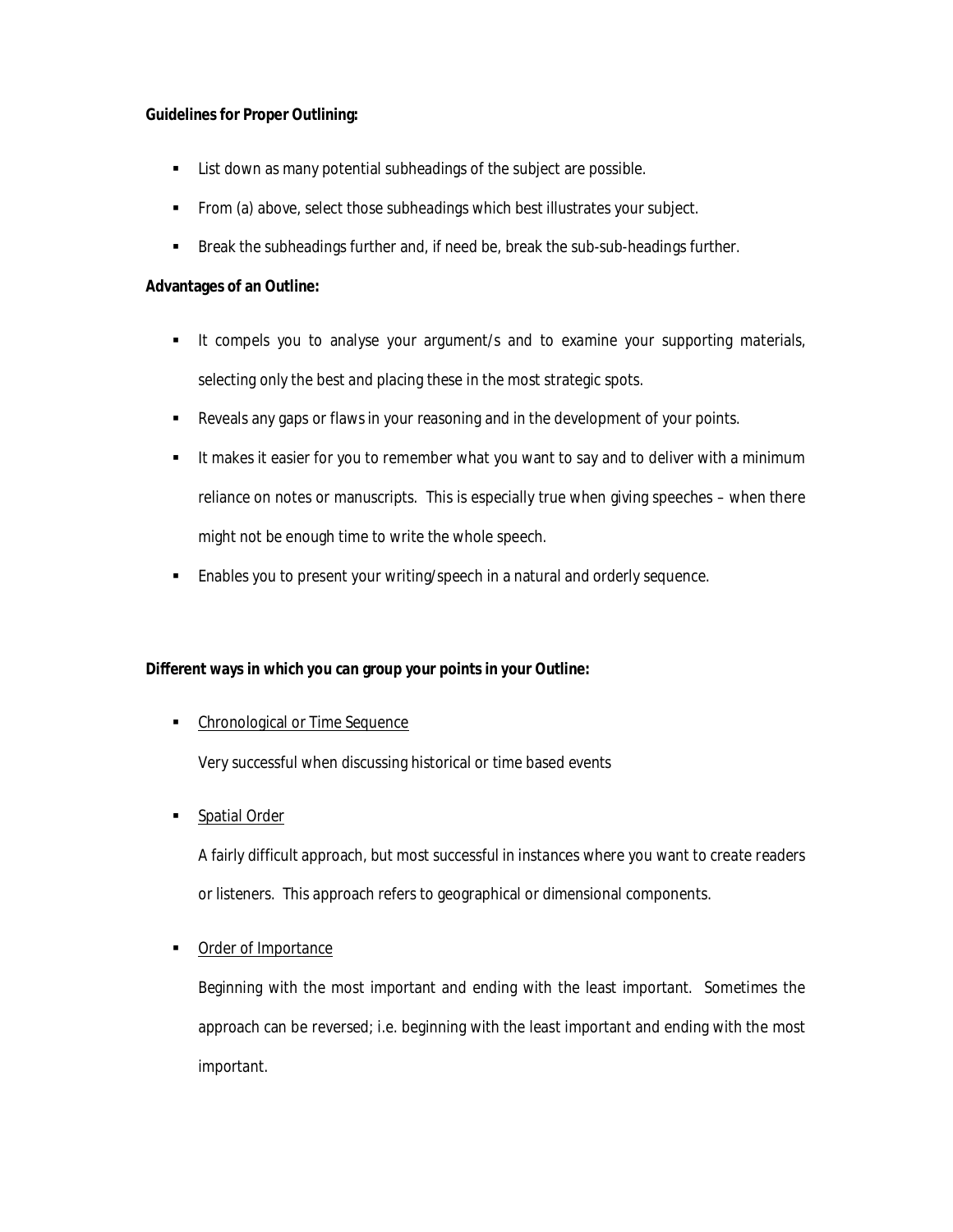### **Guidelines for Proper Outlining:**

- **EXECT** List down as many potential subheadings of the subject are possible.
- From (a) above, select those subheadings which best illustrates your subject.
- **Break the subheadings further and, if need be, break the sub-sub-headings further.**

#### **Advantages of an Outline:**

- It compels you to analyse your argument/s and to examine your supporting materials, selecting only the best and placing these in the most strategic spots.
- **Reveals any gaps or flaws in your reasoning and in the development of your points.**
- It makes it easier for you to remember what you want to say and to deliver with a minimum reliance on notes or manuscripts. This is especially true when giving speeches – when there might not be enough time to write the whole speech.
- **Enables you to present your writing/speech in a natural and orderly sequence.**

### **Different ways in which you can group your points in your Outline:**

• Chronological or Time Sequence

Very successful when discussing historical or time based events

**Spatial Order** 

A fairly difficult approach, but most successful in instances where you want to create readers or listeners. This approach refers to geographical or dimensional components.

### **Order of Importance**

Beginning with the most important and ending with the least important. Sometimes the approach can be reversed; i.e. beginning with the least important and ending with the most important.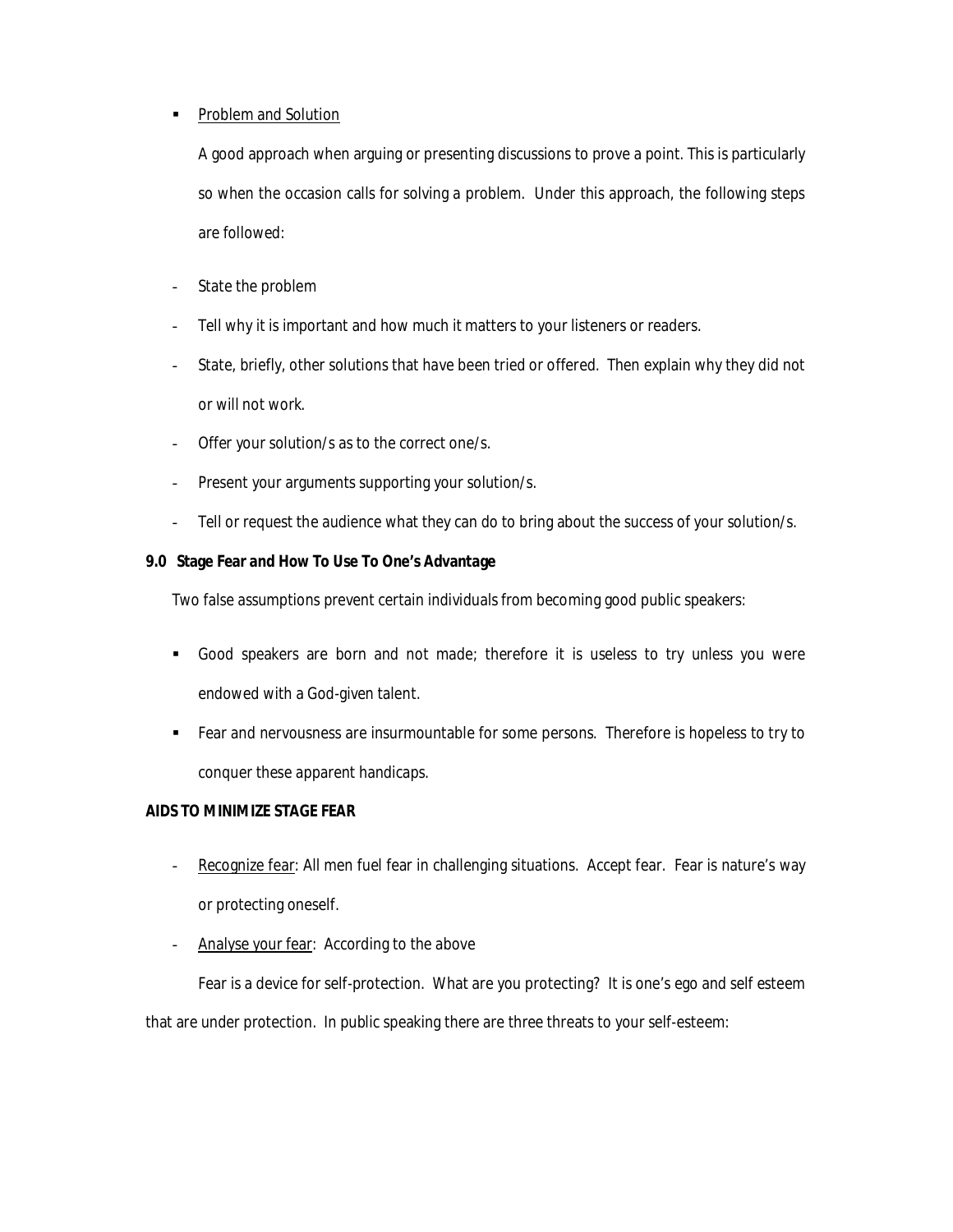### • Problem and Solution

A good approach when arguing or presenting discussions to prove a point. This is particularly so when the occasion calls for solving a problem. Under this approach, the following steps are followed:

- State the problem
- Tell why it is important and how much it matters to your listeners or readers.
- State, briefly, other solutions that have been tried or offered. Then explain why they did not or will not work.
- Offer your solution/s as to the correct one/s.
- Present your arguments supporting your solution/s.
- Tell or request the audience what they can do to bring about the success of your solution/s.

### **9.0 Stage Fear and How To Use To One's Advantage**

Two false assumptions prevent certain individuals from becoming good public speakers:

- Good speakers are born and not made; therefore it is useless to try unless you were endowed with a God-given talent.
- Fear and nervousness are insurmountable for some persons. Therefore is hopeless to try to conquer these apparent handicaps.

### **AIDS TO MINIMIZE STAGE FEAR**

- Recognize fear: All men fuel fear in challenging situations. Accept fear. Fear is nature's way or protecting oneself.
- Analyse your fear: According to the above

Fear is a device for self-protection. What are you protecting? It is one's ego and self esteem that are under protection. In public speaking there are three threats to your self-esteem: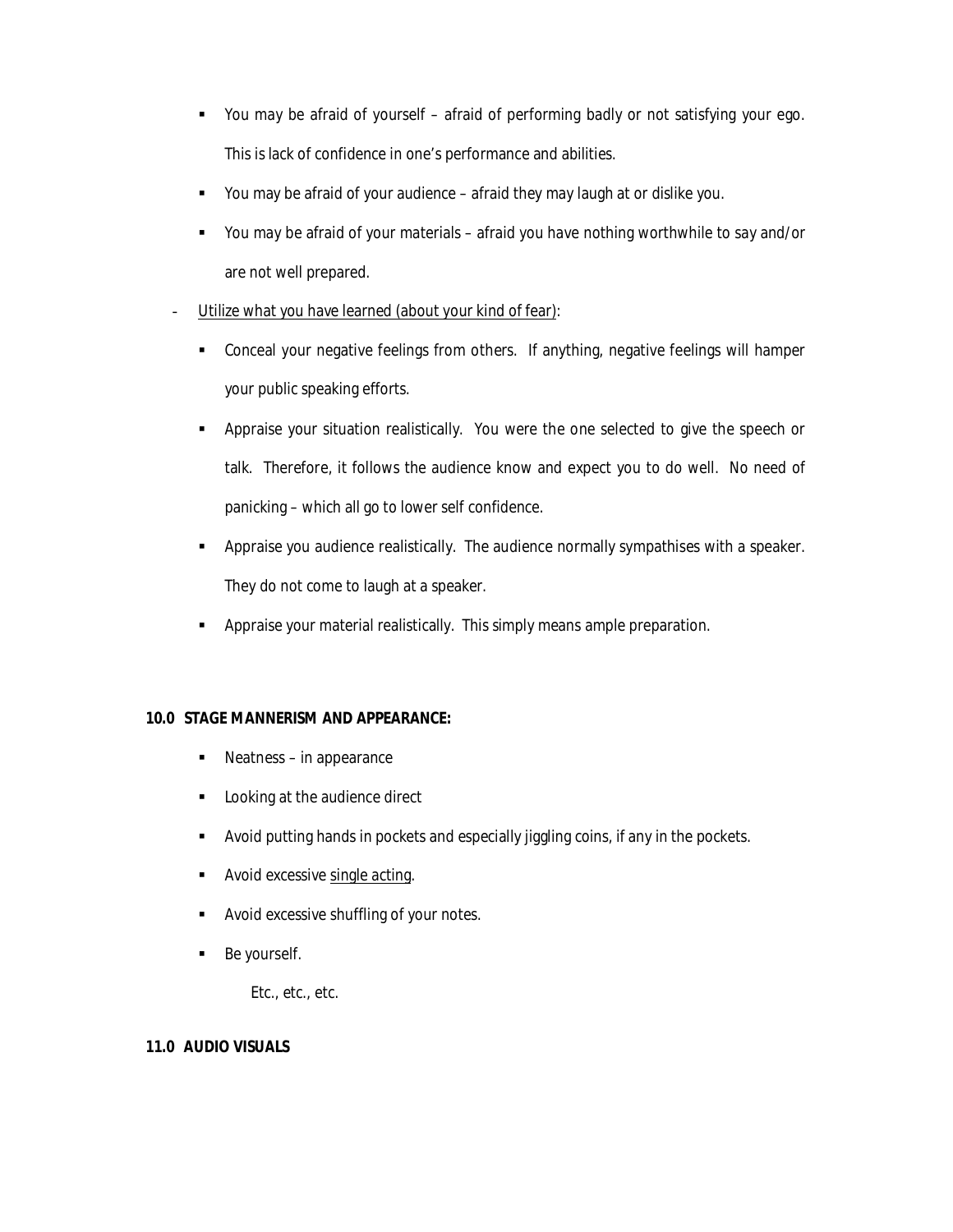- You may be afraid of yourself afraid of performing badly or not satisfying your ego. This is lack of confidence in one's performance and abilities.
- You may be afraid of your audience afraid they may laugh at or dislike you.
- You may be afraid of your materials afraid you have nothing worthwhile to say and/or are not well prepared.
- Utilize what you have learned (about your kind of fear):
	- Conceal your negative feelings from others. If anything, negative feelings will hamper your public speaking efforts.
	- Appraise your situation realistically. You were the one selected to give the speech or talk. Therefore, it follows the audience know and expect you to do well. No need of panicking – which all go to lower self confidence.
	- Appraise you audience realistically. The audience normally sympathises with a speaker. They do not come to laugh at a speaker.
	- Appraise your material realistically. This simply means ample preparation.

# **10.0 STAGE MANNERISM AND APPEARANCE:**

- Neatness in appearance
- Looking at the audience direct
- Avoid putting hands in pockets and especially jiggling coins, if any in the pockets.
- Avoid excessive single acting.
- **Avoid excessive shuffling of your notes.**
- **Be yourself.**

Etc., etc., etc.

### **11.0 AUDIO VISUALS**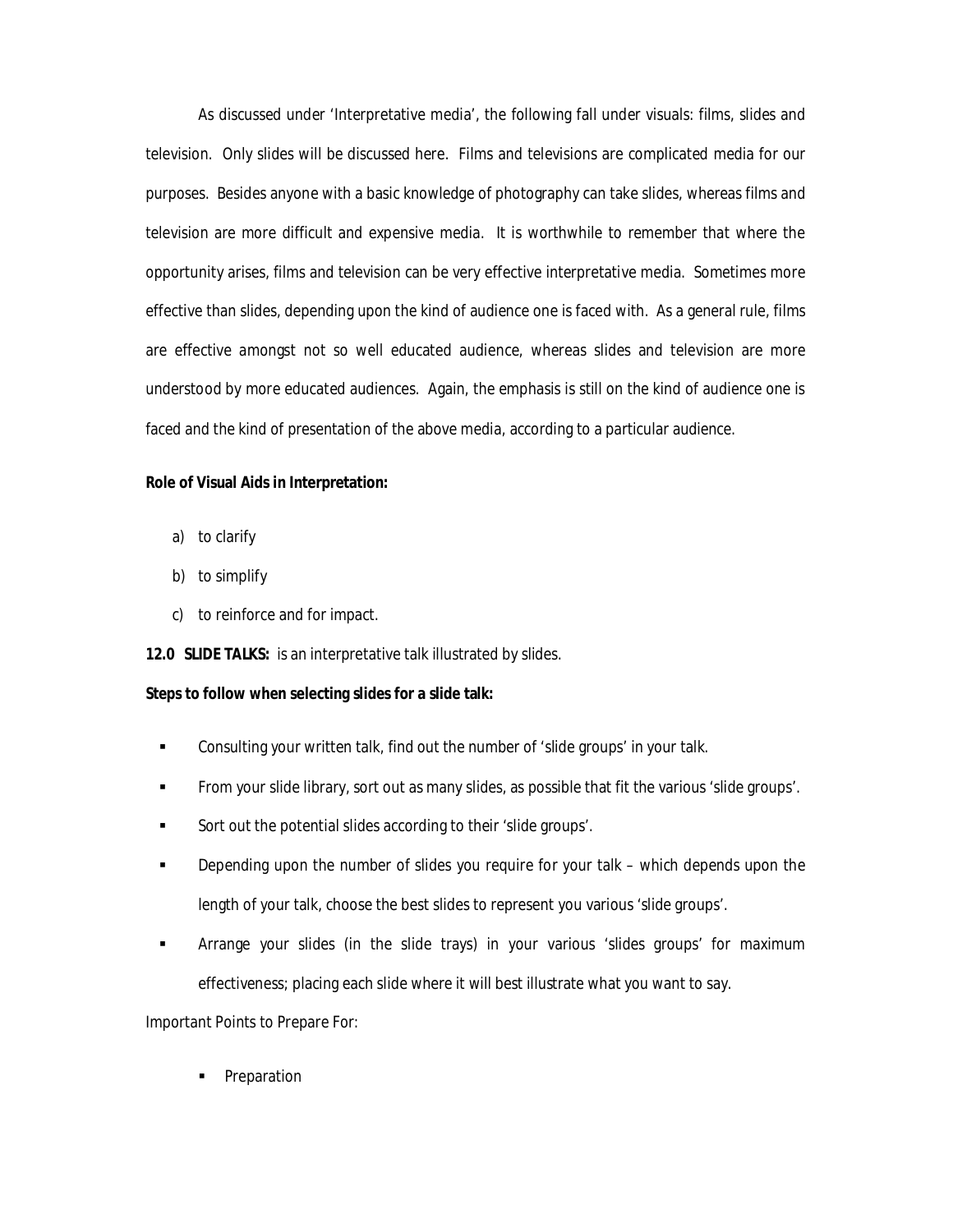As discussed under 'Interpretative media', the following fall under visuals: films, slides and television. Only slides will be discussed here. Films and televisions are complicated media for our purposes. Besides anyone with a basic knowledge of photography can take slides, whereas films and television are more difficult and expensive media. It is worthwhile to remember that where the opportunity arises, films and television can be very effective interpretative media. Sometimes more effective than slides, depending upon the kind of audience one is faced with. As a general rule, films are effective amongst not so well educated audience, whereas slides and television are more understood by more educated audiences. Again, the emphasis is still on the kind of audience one is faced and the kind of presentation of the above media, according to a particular audience.

#### **Role of Visual Aids in Interpretation:**

- a) to clarify
- b) to simplify
- c) to reinforce and for impact.

**12.0 SLIDE TALKS:** is an interpretative talk illustrated by slides.

#### **Steps to follow when selecting slides for a slide talk:**

- Consulting your written talk, find out the number of 'slide groups' in your talk.
- From your slide library, sort out as many slides, as possible that fit the various 'slide groups'.
- Sort out the potential slides according to their 'slide groups'.
- **Depending upon the number of slides you require for your talk which depends upon the** length of your talk, choose the best slides to represent you various 'slide groups'.
- Arrange your slides (in the slide trays) in your various 'slides groups' for maximum effectiveness; placing each slide where it will best illustrate what you want to say.

Important Points to Prepare For:

Preparation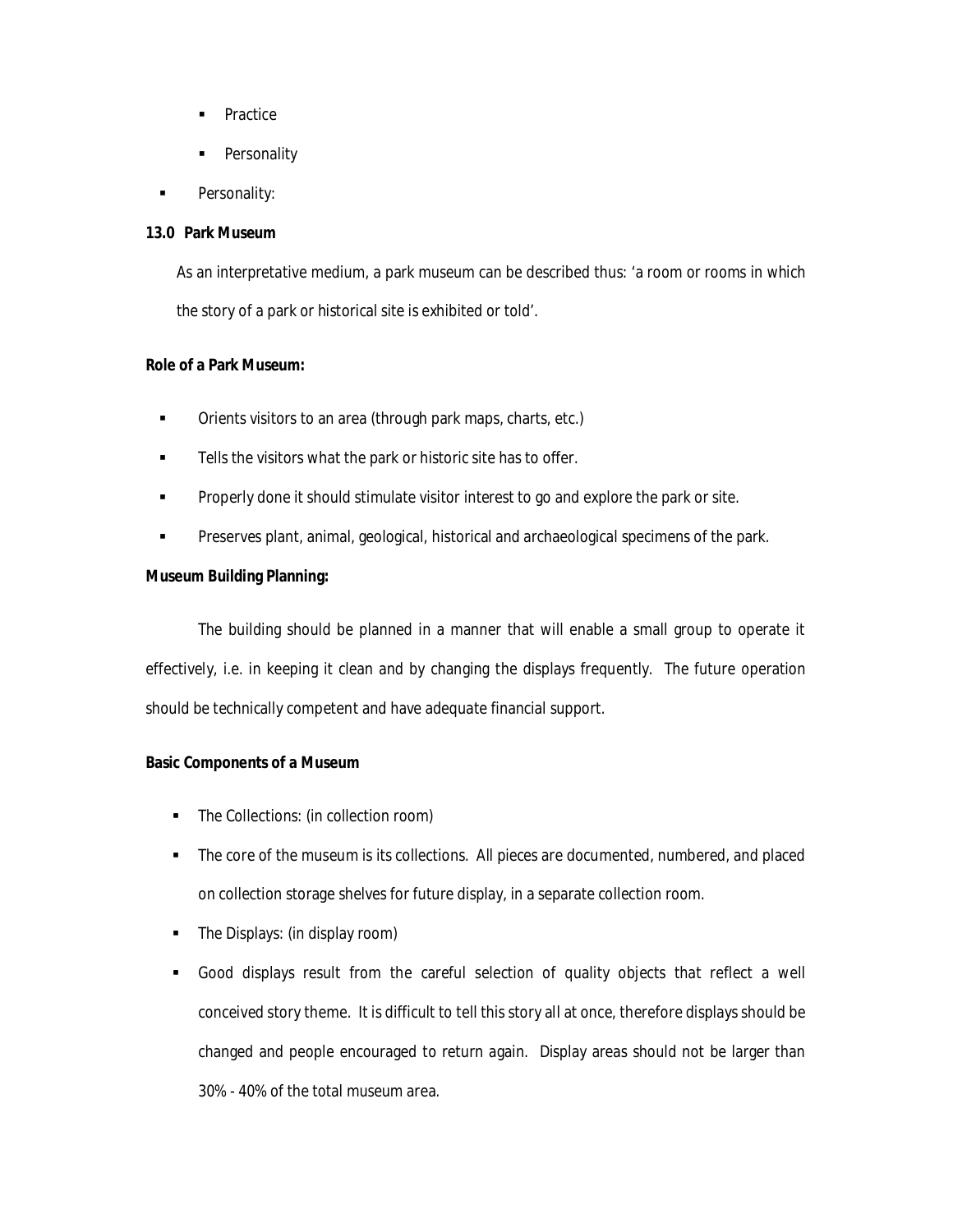- Practice
- **Personality**
- Personality:

#### **13.0 Park Museum**

As an interpretative medium, a park museum can be described thus: 'a room or rooms in which the story of a park or historical site is exhibited or told'.

#### **Role of a Park Museum:**

- **•** Orients visitors to an area (through park maps, charts, etc.)
- **Tells the visitors what the park or historic site has to offer.**
- Properly done it should stimulate visitor interest to go and explore the park or site.
- **Preserves plant, animal, geological, historical and archaeological specimens of the park.**

#### **Museum Building Planning:**

The building should be planned in a manner that will enable a small group to operate it effectively, i.e. in keeping it clean and by changing the displays frequently. The future operation should be technically competent and have adequate financial support.

#### **Basic Components of a Museum**

- The Collections: (in collection room)
- The core of the museum is its collections. All pieces are documented, numbered, and placed on collection storage shelves for future display, in a separate collection room.
- The Displays: (in display room)
- Good displays result from the careful selection of quality objects that reflect a well conceived story theme. It is difficult to tell this story all at once, therefore displays should be changed and people encouraged to return again. Display areas should not be larger than 30% - 40% of the total museum area.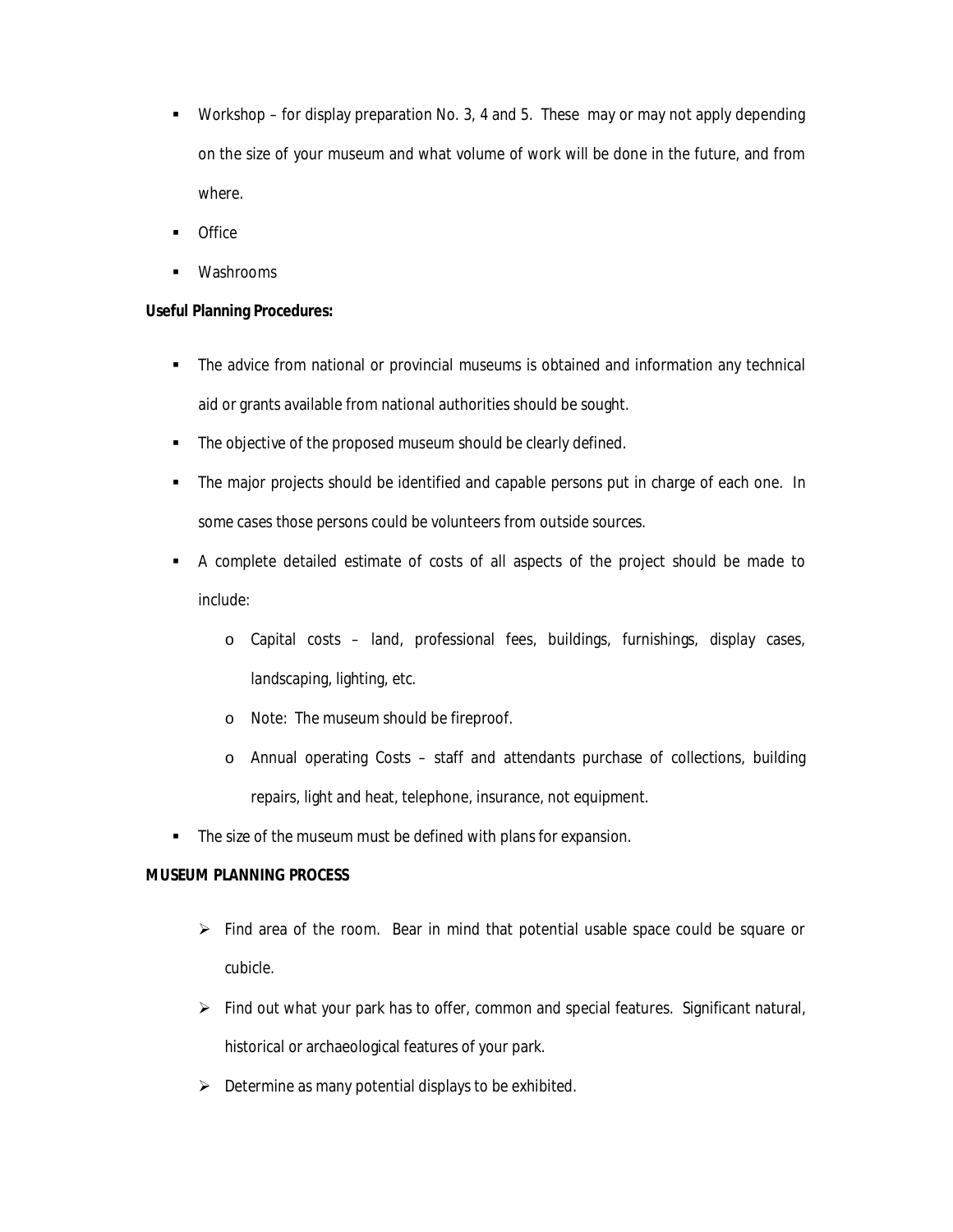- Workshop for display preparation No. 3, 4 and 5. These may or may not apply depending on the size of your museum and what volume of work will be done in the future, and from where.
- **Office**
- Washrooms

### **Useful Planning Procedures:**

- The advice from national or provincial museums is obtained and information any technical aid or grants available from national authorities should be sought.
- **The objective of the proposed museum should be clearly defined.**
- The major projects should be identified and capable persons put in charge of each one. In some cases those persons could be volunteers from outside sources.
- A complete detailed estimate of costs of all aspects of the project should be made to include:
	- o Capital costs land, professional fees, buildings, furnishings, display cases, landscaping, lighting, etc.
	- o Note: The museum should be fireproof.
	- o Annual operating Costs staff and attendants purchase of collections, building repairs, light and heat, telephone, insurance, not equipment.
- **The size of the museum must be defined with plans for expansion.**

### **MUSEUM PLANNING PROCESS**

- $\triangleright$  Find area of the room. Bear in mind that potential usable space could be square or cubicle.
- $\triangleright$  Find out what your park has to offer, common and special features. Significant natural, historical or archaeological features of your park.
- $\triangleright$  Determine as many potential displays to be exhibited.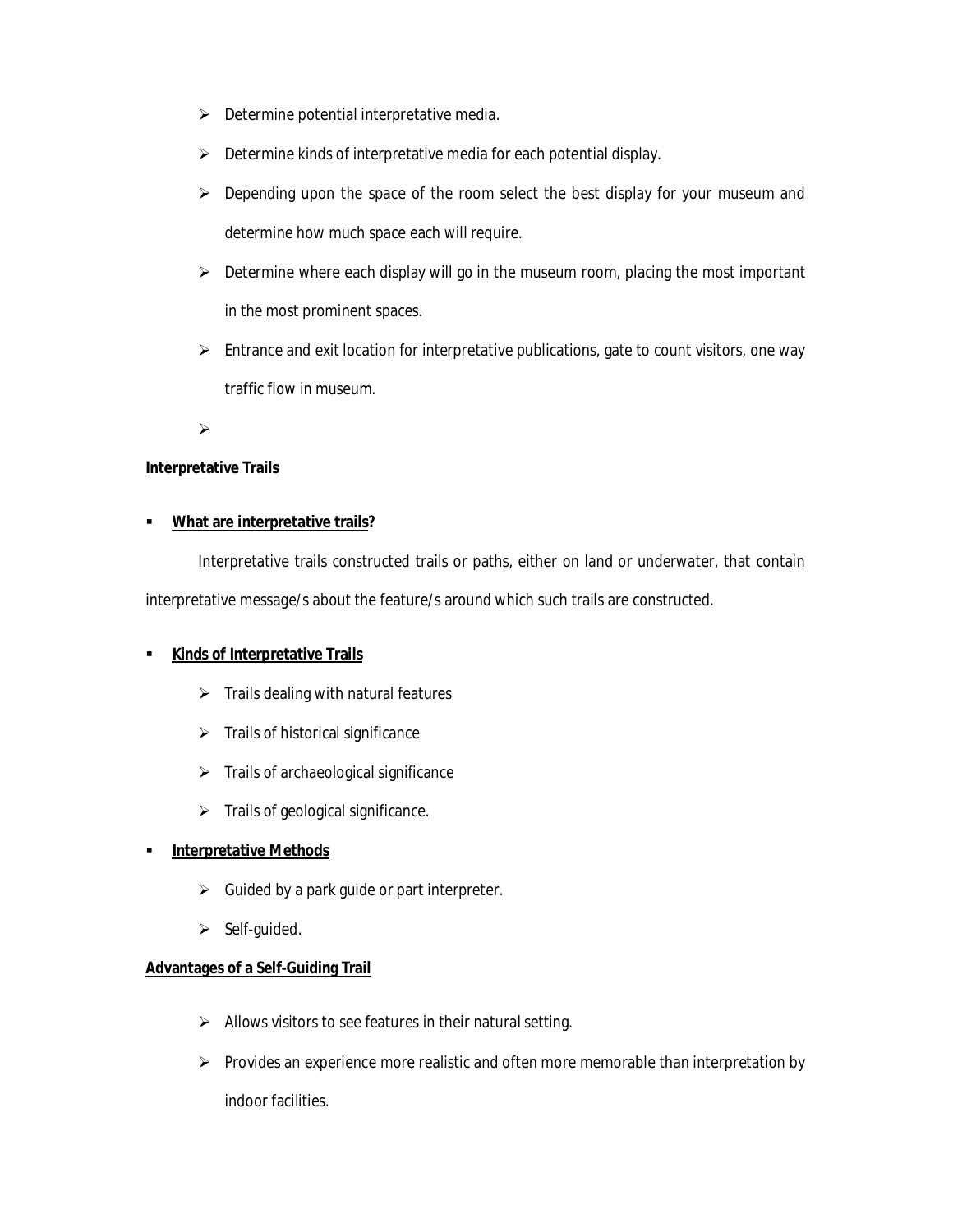- $\triangleright$  Determine potential interpretative media.
- $\triangleright$  Determine kinds of interpretative media for each potential display.
- $\triangleright$  Depending upon the space of the room select the best display for your museum and determine how much space each will require.
- $\triangleright$  Determine where each display will go in the museum room, placing the most important in the most prominent spaces.
- $\triangleright$  Entrance and exit location for interpretative publications, gate to count visitors, one way traffic flow in museum.

 $\blacktriangleright$ 

### **Interpretative Trails**

### **What are interpretative trails?**

Interpretative trails constructed trails or paths, either on land or underwater, that contain interpretative message/s about the feature/s around which such trails are constructed.

# **Kinds of Interpretative Trails**

- $\triangleright$  Trails dealing with natural features
- $\triangleright$  Trails of historical significance
- $\triangleright$  Trails of archaeological significance
- $\triangleright$  Trails of geological significance.

### **Interpretative Methods**

- $\triangleright$  Guided by a park guide or part interpreter.
- $\triangleright$  Self-guided.

### **Advantages of a Self-Guiding Trail**

- $\triangleright$  Allows visitors to see features in their natural setting.
- $\triangleright$  Provides an experience more realistic and often more memorable than interpretation by

indoor facilities.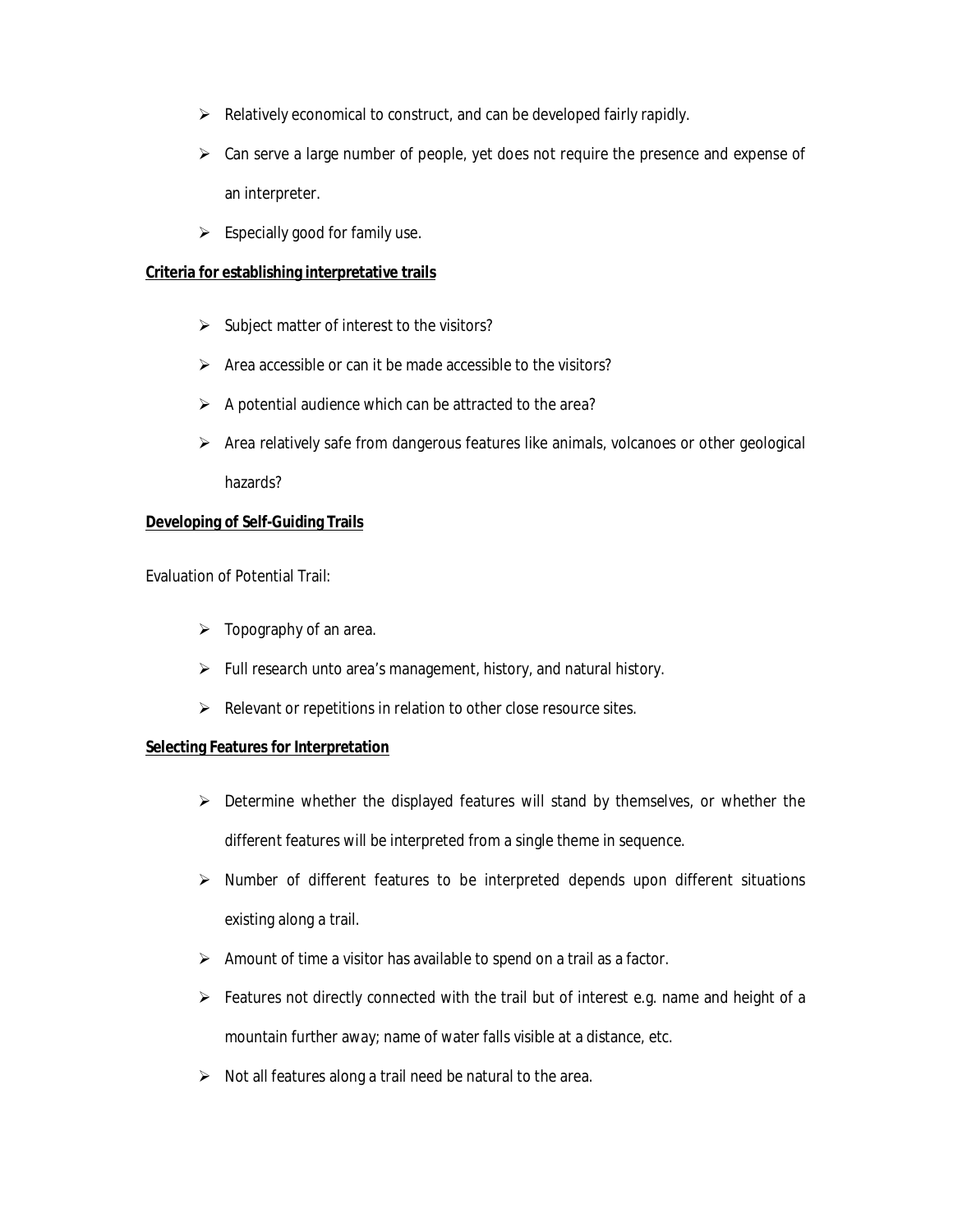- $\triangleright$  Relatively economical to construct, and can be developed fairly rapidly.
- $\triangleright$  Can serve a large number of people, yet does not require the presence and expense of an interpreter.
- $\triangleright$  Especially good for family use.

#### **Criteria for establishing interpretative trails**

- $\triangleright$  Subject matter of interest to the visitors?
- $\triangleright$  Area accessible or can it be made accessible to the visitors?
- $\triangleright$  A potential audience which can be attracted to the area?
- $\triangleright$  Area relatively safe from dangerous features like animals, volcanoes or other geological hazards?

### **Developing of Self-Guiding Trails**

Evaluation of Potential Trail:

- $\triangleright$  Topography of an area.
- $\triangleright$  Full research unto area's management, history, and natural history.
- $\triangleright$  Relevant or repetitions in relation to other close resource sites.

### **Selecting Features for Interpretation**

- $\triangleright$  Determine whether the displayed features will stand by themselves, or whether the different features will be interpreted from a single theme in sequence.
- $\triangleright$  Number of different features to be interpreted depends upon different situations existing along a trail.
- $\triangleright$  Amount of time a visitor has available to spend on a trail as a factor.
- $\triangleright$  Features not directly connected with the trail but of interest e.g. name and height of a mountain further away; name of water falls visible at a distance, etc.
- $\triangleright$  Not all features along a trail need be natural to the area.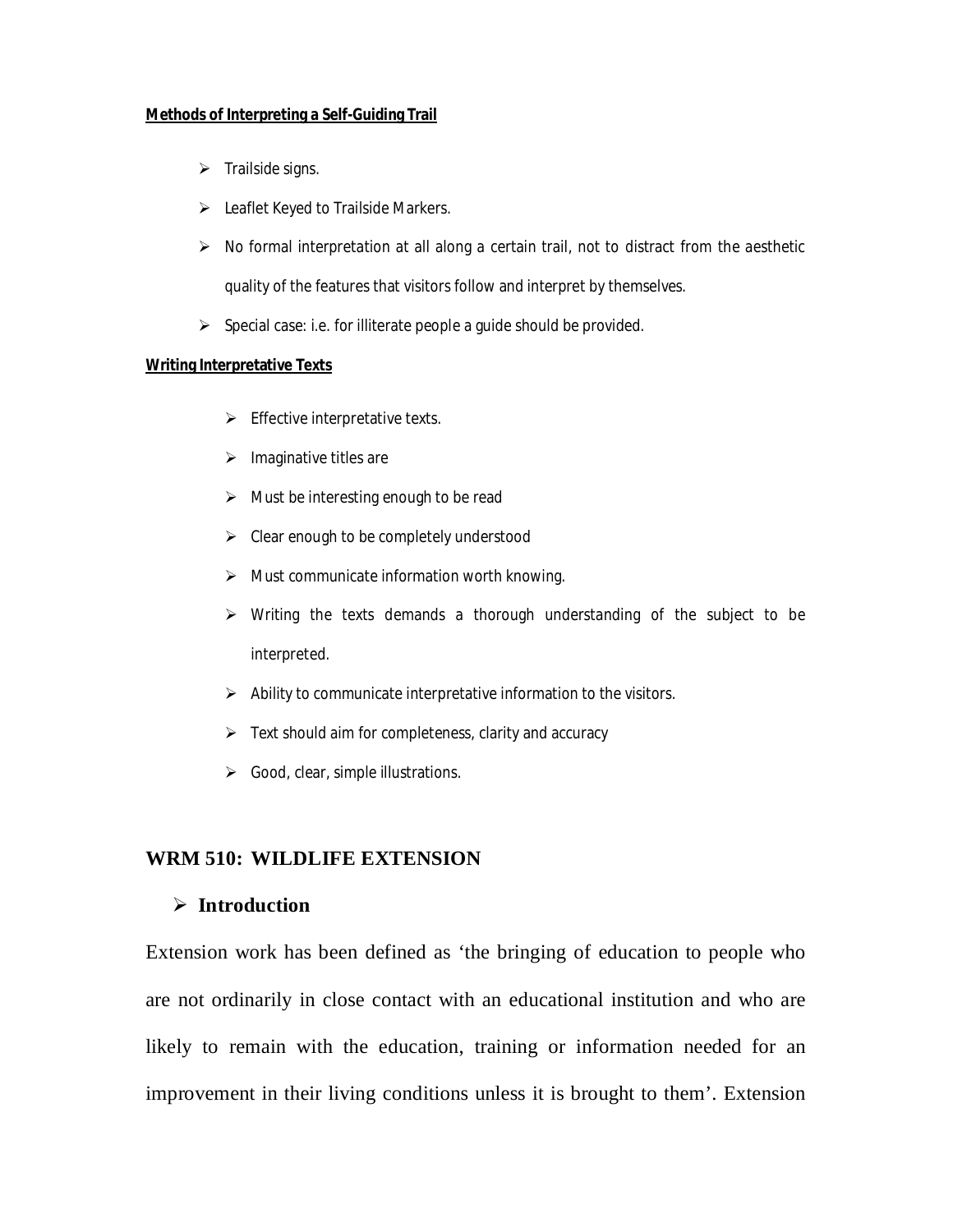### **Methods of Interpreting a Self-Guiding Trail**

- $\triangleright$  Trailside signs.
- $\triangleright$  Leaflet Keyed to Trailside Markers.
- $\triangleright$  No formal interpretation at all along a certain trail, not to distract from the aesthetic quality of the features that visitors follow and interpret by themselves.
- $\triangleright$  Special case: i.e. for illiterate people a guide should be provided.

#### **Writing Interpretative Texts**

- $\triangleright$  Effective interpretative texts.
- $\triangleright$  Imaginative titles are
- $\triangleright$  Must be interesting enough to be read
- $\triangleright$  Clear enough to be completely understood
- $\triangleright$  Must communicate information worth knowing.
- $\triangleright$  Writing the texts demands a thorough understanding of the subject to be interpreted.
- $\triangleright$  Ability to communicate interpretative information to the visitors.
- $\triangleright$  Text should aim for completeness, clarity and accuracy
- $\triangleright$  Good, clear, simple illustrations.

# **WRM 510: WILDLIFE EXTENSION**

# **Introduction**

Extension work has been defined as 'the bringing of education to people who are not ordinarily in close contact with an educational institution and who are likely to remain with the education, training or information needed for an improvement in their living conditions unless it is brought to them'. Extension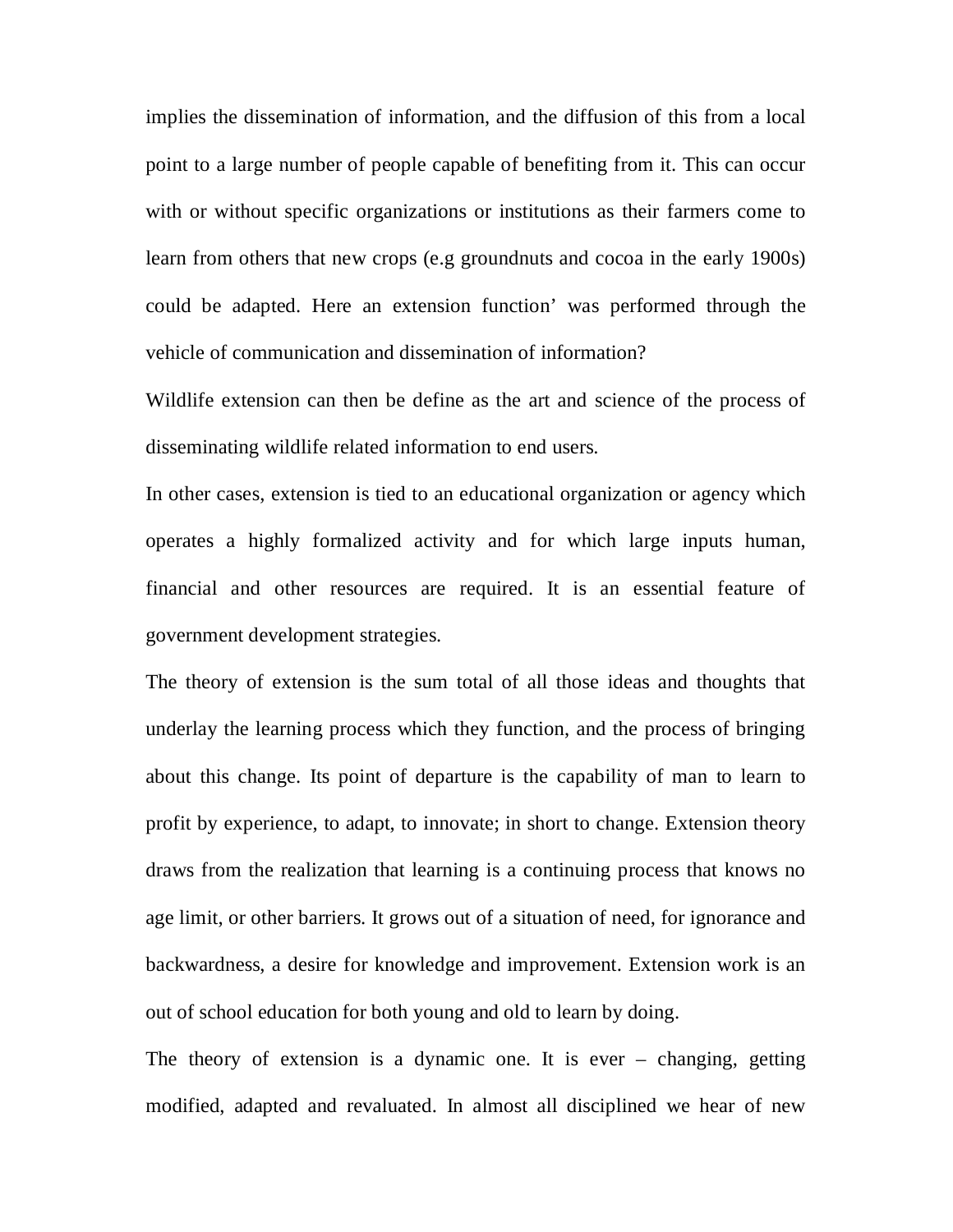implies the dissemination of information, and the diffusion of this from a local point to a large number of people capable of benefiting from it. This can occur with or without specific organizations or institutions as their farmers come to learn from others that new crops (e.g groundnuts and cocoa in the early 1900s) could be adapted. Here an extension function' was performed through the vehicle of communication and dissemination of information?

Wildlife extension can then be define as the art and science of the process of disseminating wildlife related information to end users.

In other cases, extension is tied to an educational organization or agency which operates a highly formalized activity and for which large inputs human, financial and other resources are required. It is an essential feature of government development strategies.

The theory of extension is the sum total of all those ideas and thoughts that underlay the learning process which they function, and the process of bringing about this change. Its point of departure is the capability of man to learn to profit by experience, to adapt, to innovate; in short to change. Extension theory draws from the realization that learning is a continuing process that knows no age limit, or other barriers. It grows out of a situation of need, for ignorance and backwardness, a desire for knowledge and improvement. Extension work is an out of school education for both young and old to learn by doing.

The theory of extension is a dynamic one. It is ever – changing, getting modified, adapted and revaluated. In almost all disciplined we hear of new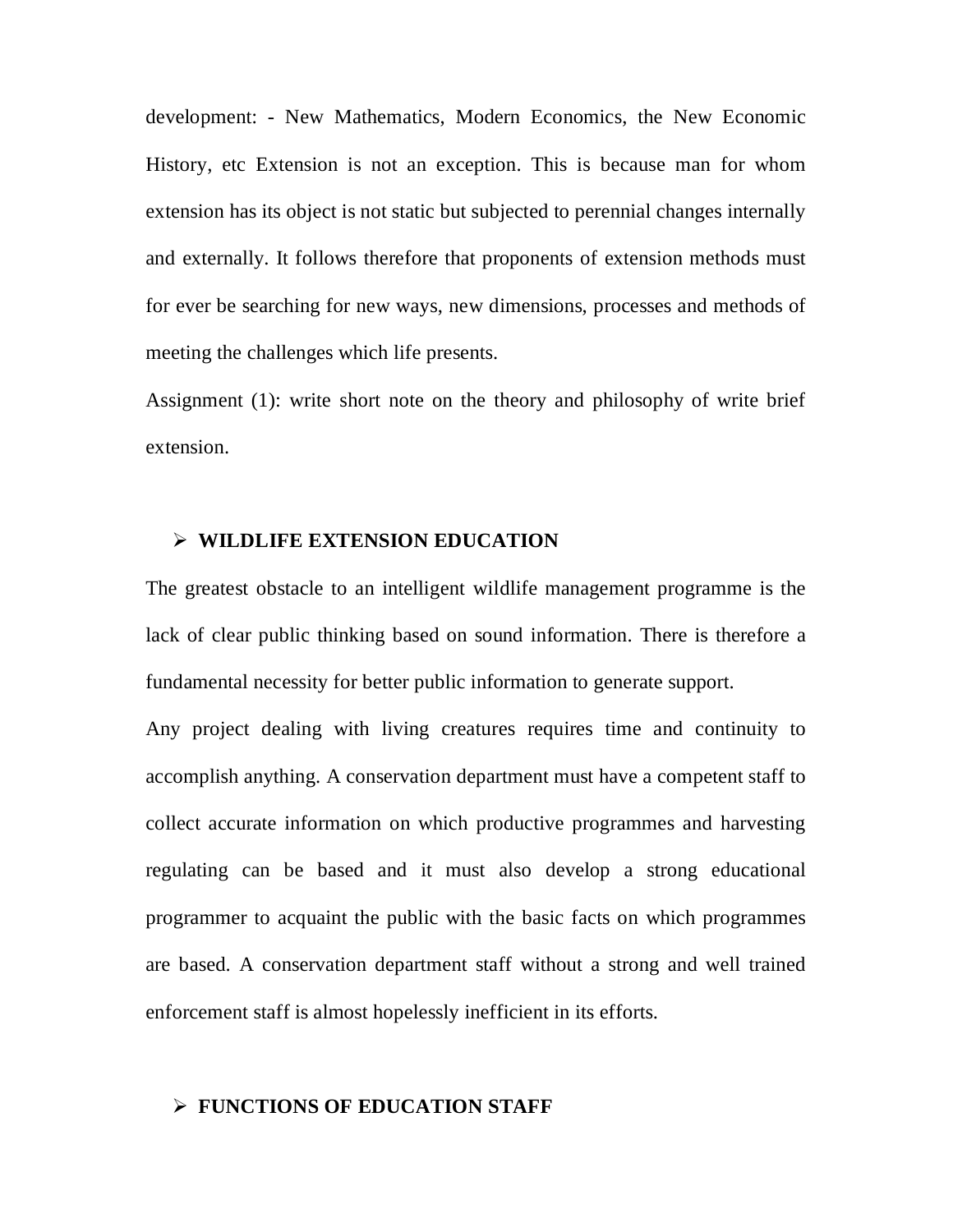development: - New Mathematics, Modern Economics, the New Economic History, etc Extension is not an exception. This is because man for whom extension has its object is not static but subjected to perennial changes internally and externally. It follows therefore that proponents of extension methods must for ever be searching for new ways, new dimensions, processes and methods of meeting the challenges which life presents.

Assignment (1): write short note on the theory and philosophy of write brief extension.

### **WILDLIFE EXTENSION EDUCATION**

The greatest obstacle to an intelligent wildlife management programme is the lack of clear public thinking based on sound information. There is therefore a fundamental necessity for better public information to generate support.

Any project dealing with living creatures requires time and continuity to accomplish anything. A conservation department must have a competent staff to collect accurate information on which productive programmes and harvesting regulating can be based and it must also develop a strong educational programmer to acquaint the public with the basic facts on which programmes are based. A conservation department staff without a strong and well trained enforcement staff is almost hopelessly inefficient in its efforts.

# **FUNCTIONS OF EDUCATION STAFF**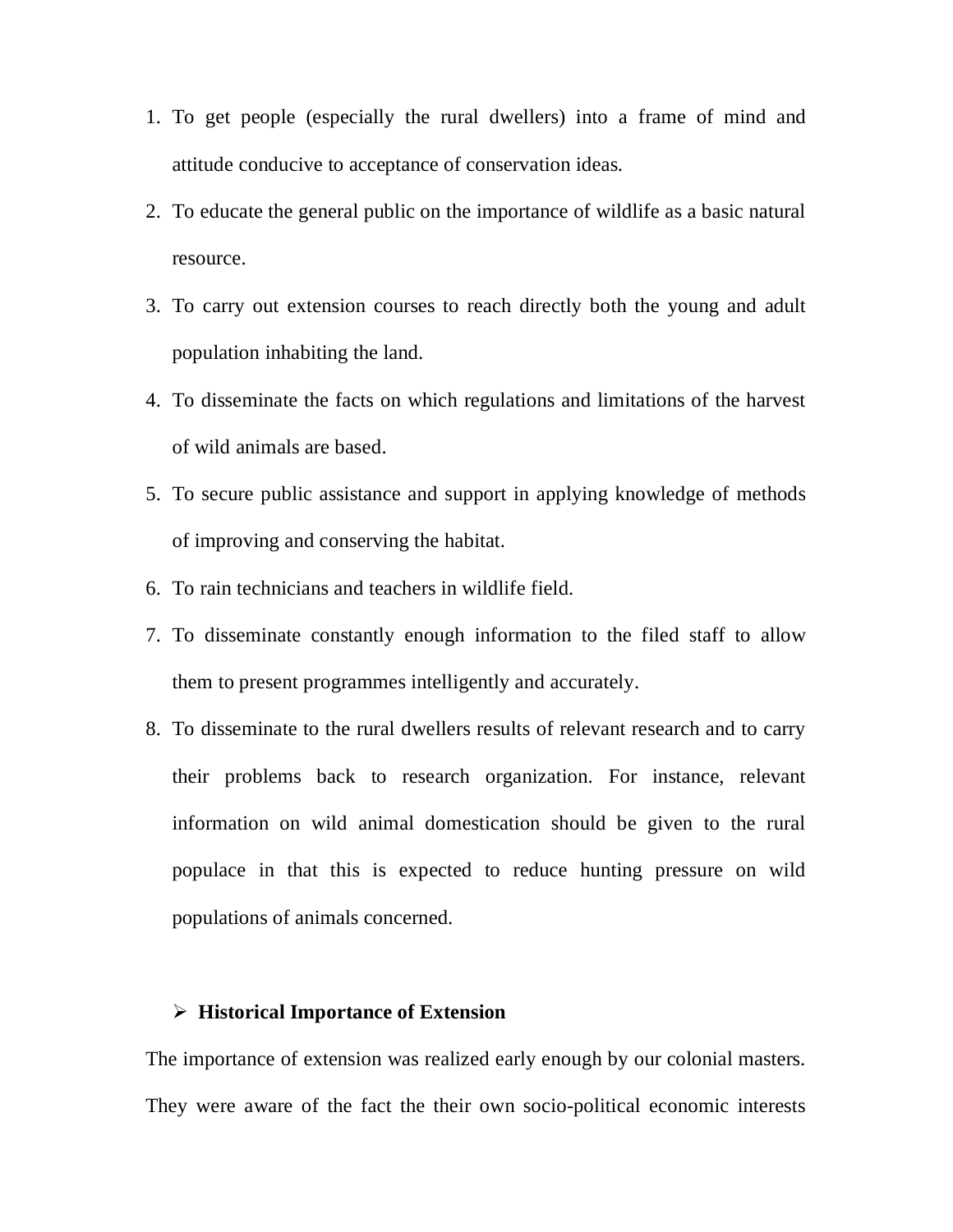- 1. To get people (especially the rural dwellers) into a frame of mind and attitude conducive to acceptance of conservation ideas.
- 2. To educate the general public on the importance of wildlife as a basic natural resource.
- 3. To carry out extension courses to reach directly both the young and adult population inhabiting the land.
- 4. To disseminate the facts on which regulations and limitations of the harvest of wild animals are based.
- 5. To secure public assistance and support in applying knowledge of methods of improving and conserving the habitat.
- 6. To rain technicians and teachers in wildlife field.
- 7. To disseminate constantly enough information to the filed staff to allow them to present programmes intelligently and accurately.
- 8. To disseminate to the rural dwellers results of relevant research and to carry their problems back to research organization. For instance, relevant information on wild animal domestication should be given to the rural populace in that this is expected to reduce hunting pressure on wild populations of animals concerned.

# **Historical Importance of Extension**

The importance of extension was realized early enough by our colonial masters. They were aware of the fact the their own socio-political economic interests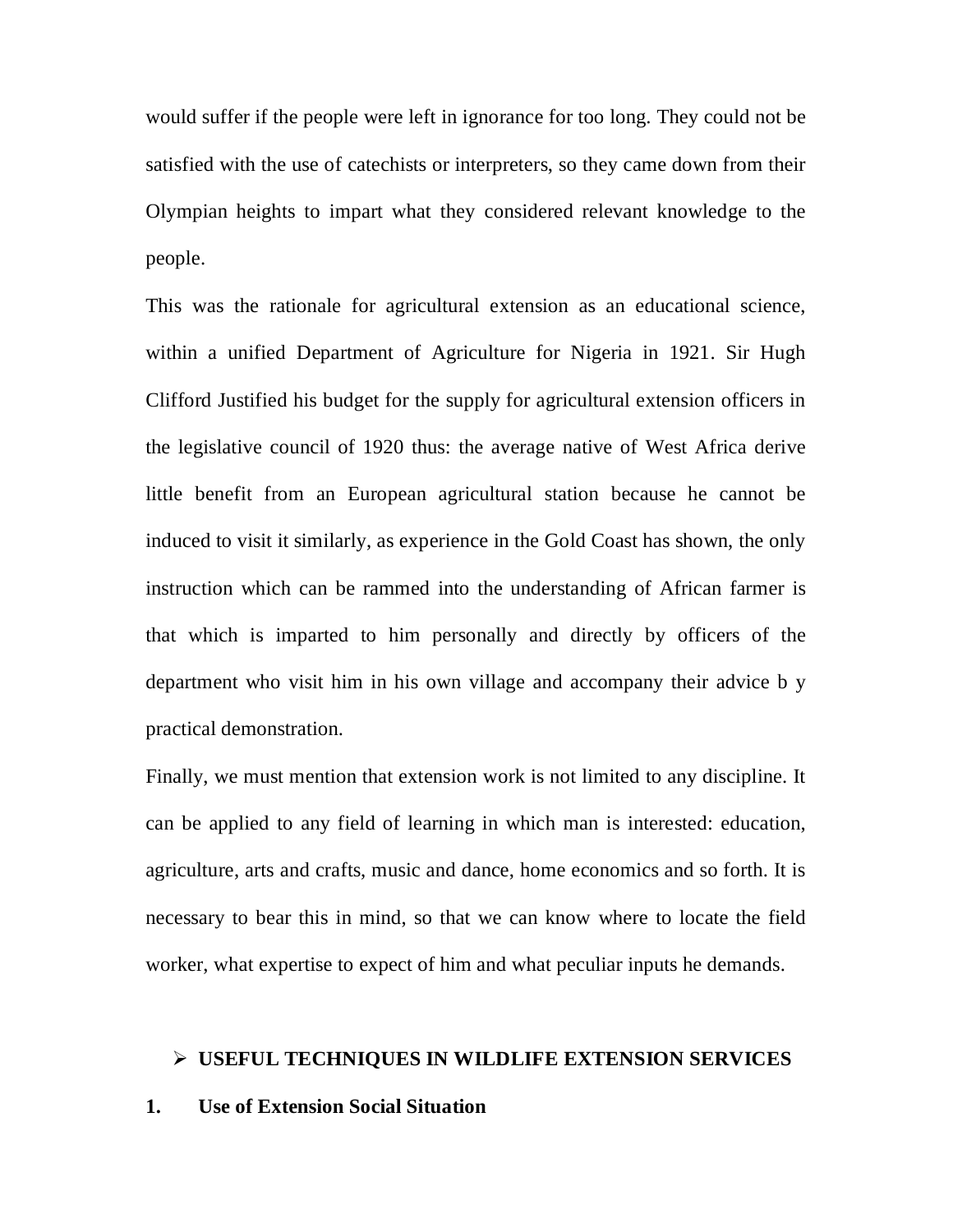would suffer if the people were left in ignorance for too long. They could not be satisfied with the use of catechists or interpreters, so they came down from their Olympian heights to impart what they considered relevant knowledge to the people.

This was the rationale for agricultural extension as an educational science, within a unified Department of Agriculture for Nigeria in 1921. Sir Hugh Clifford Justified his budget for the supply for agricultural extension officers in the legislative council of 1920 thus: the average native of West Africa derive little benefit from an European agricultural station because he cannot be induced to visit it similarly, as experience in the Gold Coast has shown, the only instruction which can be rammed into the understanding of African farmer is that which is imparted to him personally and directly by officers of the department who visit him in his own village and accompany their advice b y practical demonstration.

Finally, we must mention that extension work is not limited to any discipline. It can be applied to any field of learning in which man is interested: education, agriculture, arts and crafts, music and dance, home economics and so forth. It is necessary to bear this in mind, so that we can know where to locate the field worker, what expertise to expect of him and what peculiar inputs he demands.

### **USEFUL TECHNIQUES IN WILDLIFE EXTENSION SERVICES**

### **1. Use of Extension Social Situation**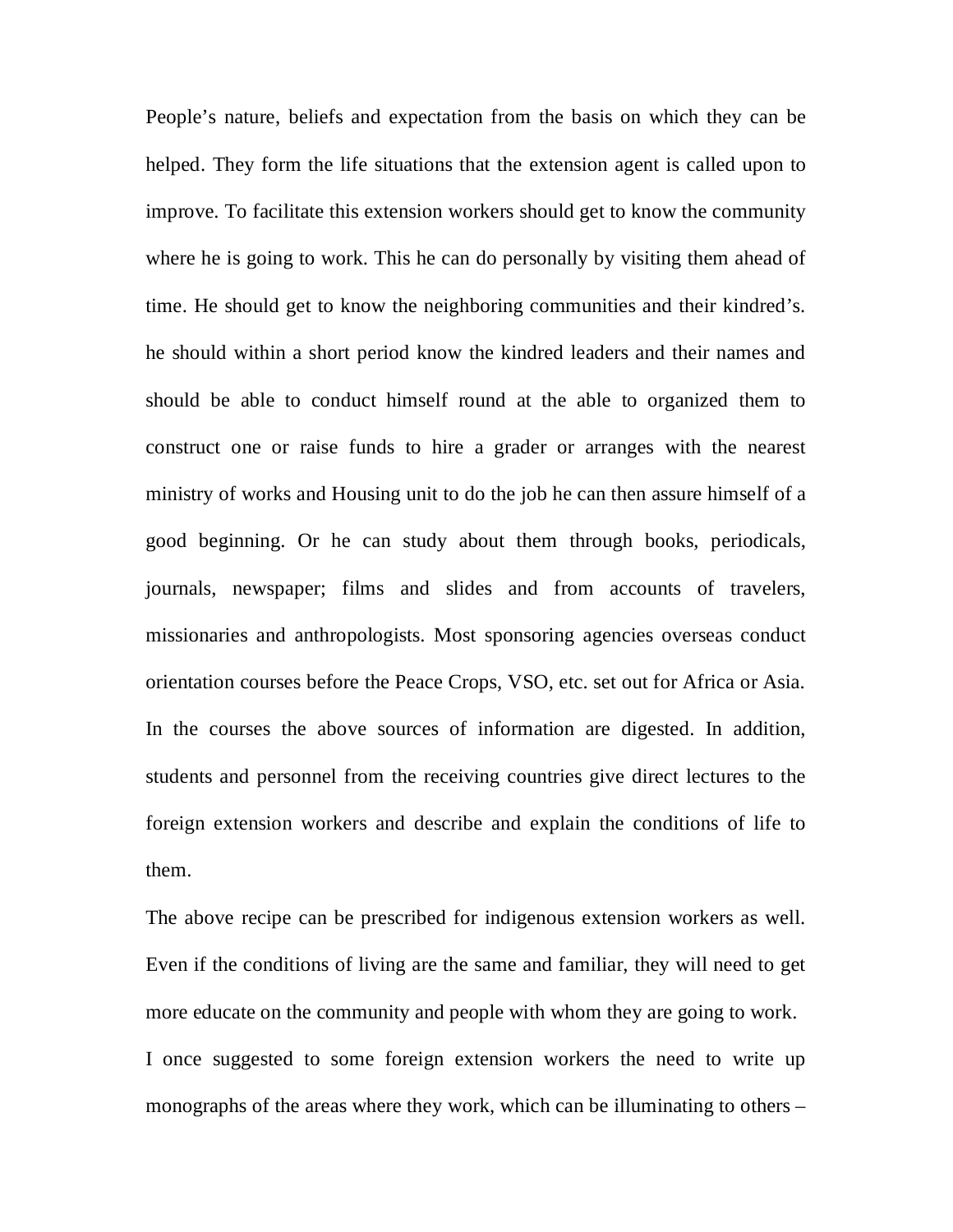People's nature, beliefs and expectation from the basis on which they can be helped. They form the life situations that the extension agent is called upon to improve. To facilitate this extension workers should get to know the community where he is going to work. This he can do personally by visiting them ahead of time. He should get to know the neighboring communities and their kindred's. he should within a short period know the kindred leaders and their names and should be able to conduct himself round at the able to organized them to construct one or raise funds to hire a grader or arranges with the nearest ministry of works and Housing unit to do the job he can then assure himself of a good beginning. Or he can study about them through books, periodicals, journals, newspaper; films and slides and from accounts of travelers, missionaries and anthropologists. Most sponsoring agencies overseas conduct orientation courses before the Peace Crops, VSO, etc. set out for Africa or Asia. In the courses the above sources of information are digested. In addition, students and personnel from the receiving countries give direct lectures to the foreign extension workers and describe and explain the conditions of life to them.

The above recipe can be prescribed for indigenous extension workers as well. Even if the conditions of living are the same and familiar, they will need to get more educate on the community and people with whom they are going to work. I once suggested to some foreign extension workers the need to write up monographs of the areas where they work, which can be illuminating to others –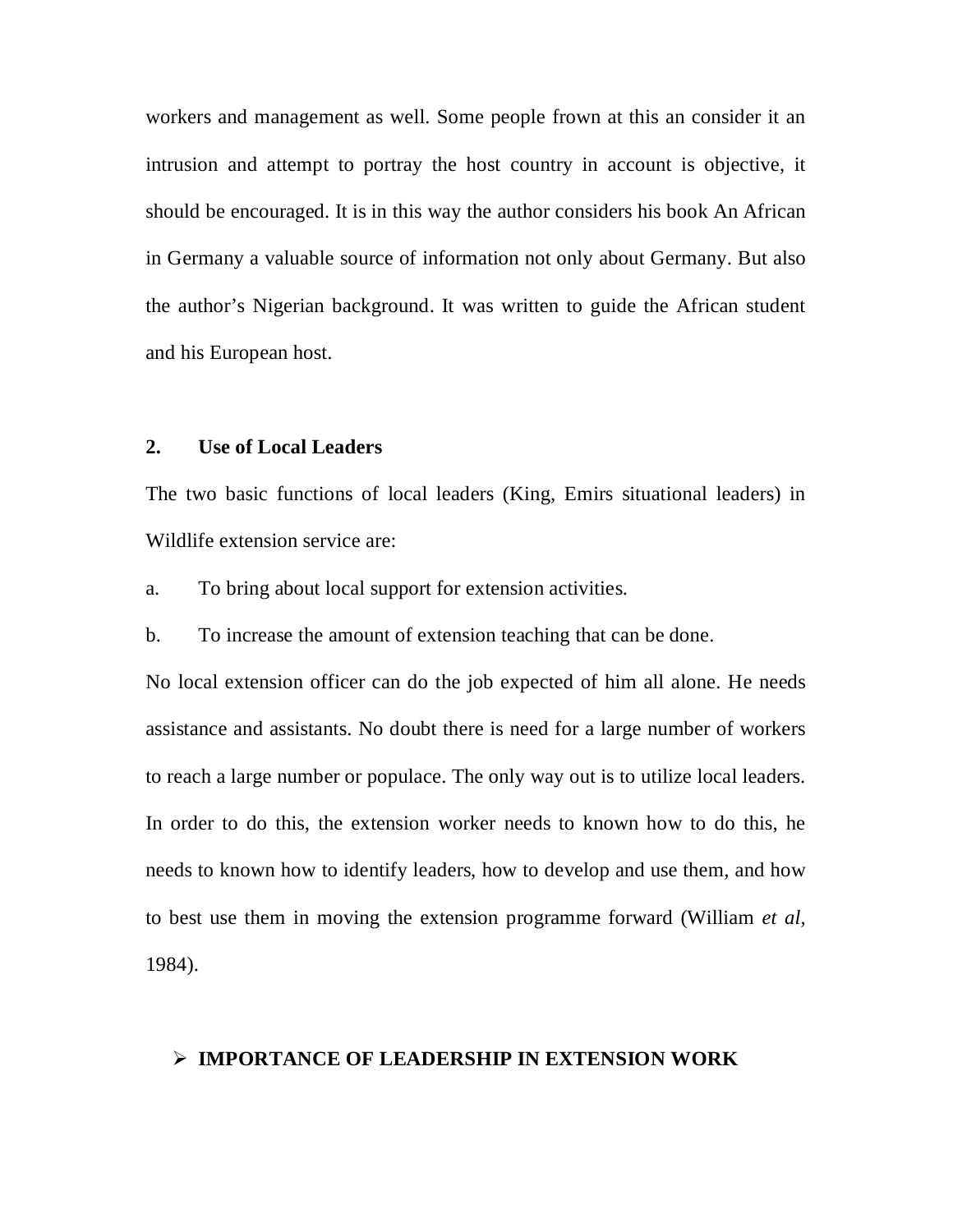workers and management as well. Some people frown at this an consider it an intrusion and attempt to portray the host country in account is objective, it should be encouraged. It is in this way the author considers his book An African in Germany a valuable source of information not only about Germany. But also the author's Nigerian background. It was written to guide the African student and his European host.

# **2. Use of Local Leaders**

The two basic functions of local leaders (King, Emirs situational leaders) in Wildlife extension service are:

a. To bring about local support for extension activities.

b. To increase the amount of extension teaching that can be done.

No local extension officer can do the job expected of him all alone. He needs assistance and assistants. No doubt there is need for a large number of workers to reach a large number or populace. The only way out is to utilize local leaders. In order to do this, the extension worker needs to known how to do this, he needs to known how to identify leaders, how to develop and use them, and how to best use them in moving the extension programme forward (William *et al,*  1984).

# **IMPORTANCE OF LEADERSHIP IN EXTENSION WORK**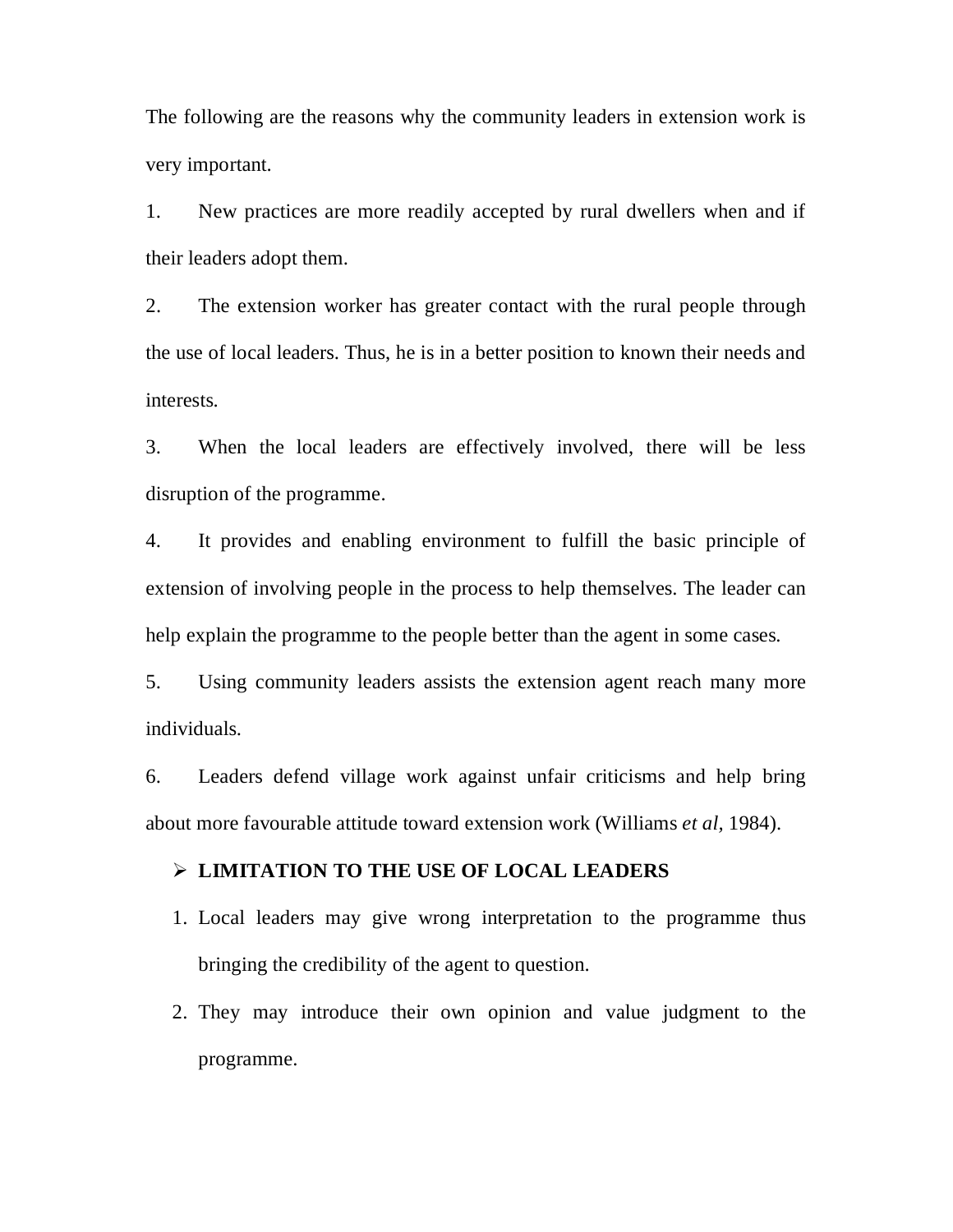The following are the reasons why the community leaders in extension work is very important.

1. New practices are more readily accepted by rural dwellers when and if their leaders adopt them.

2. The extension worker has greater contact with the rural people through the use of local leaders. Thus, he is in a better position to known their needs and interests.

3. When the local leaders are effectively involved, there will be less disruption of the programme.

4. It provides and enabling environment to fulfill the basic principle of extension of involving people in the process to help themselves. The leader can help explain the programme to the people better than the agent in some cases.

5. Using community leaders assists the extension agent reach many more individuals.

6. Leaders defend village work against unfair criticisms and help bring about more favourable attitude toward extension work (Williams *et al,* 1984).

# **LIMITATION TO THE USE OF LOCAL LEADERS**

- 1. Local leaders may give wrong interpretation to the programme thus bringing the credibility of the agent to question.
- 2. They may introduce their own opinion and value judgment to the programme.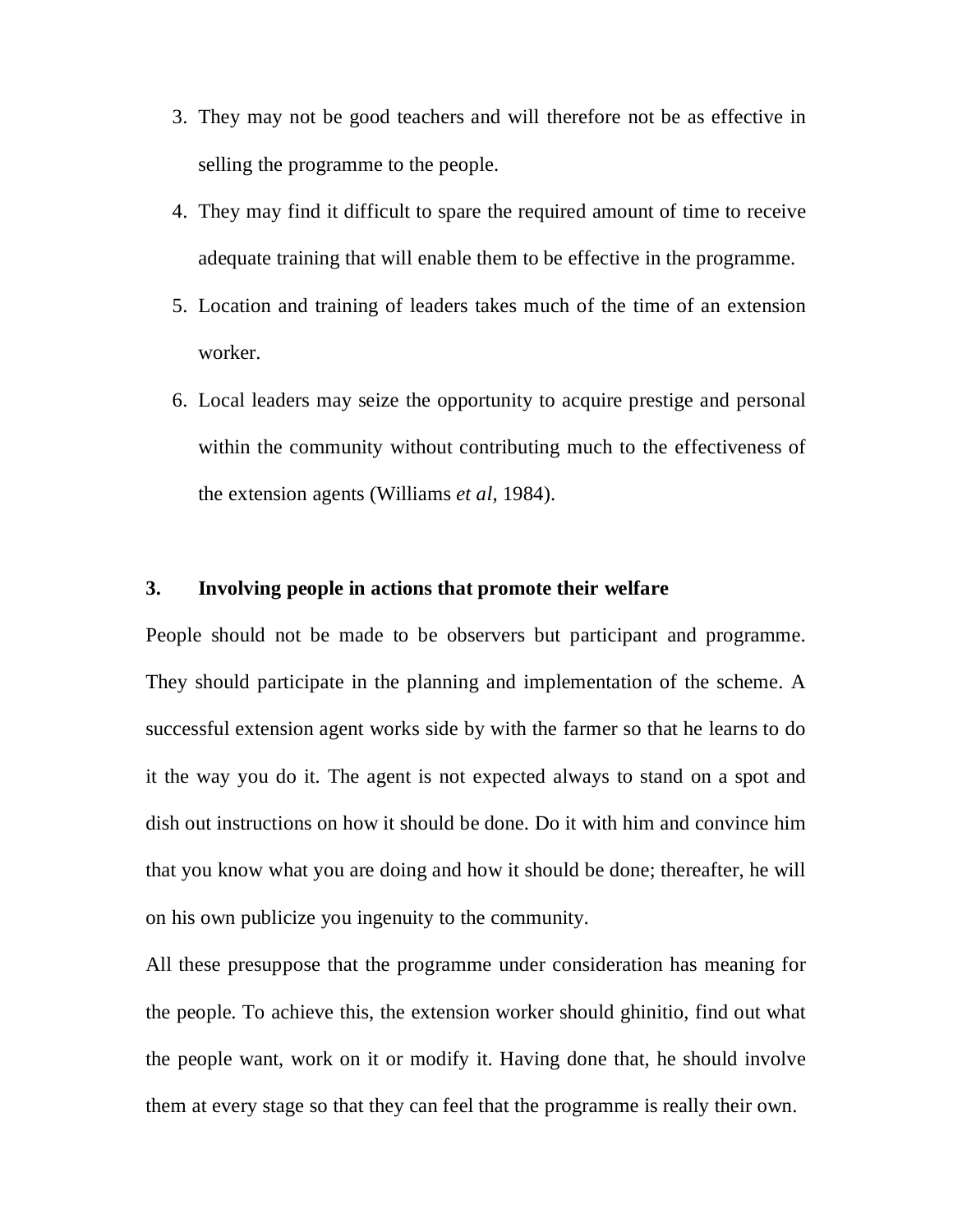- 3. They may not be good teachers and will therefore not be as effective in selling the programme to the people.
- 4. They may find it difficult to spare the required amount of time to receive adequate training that will enable them to be effective in the programme.
- 5. Location and training of leaders takes much of the time of an extension worker.
- 6. Local leaders may seize the opportunity to acquire prestige and personal within the community without contributing much to the effectiveness of the extension agents (Williams *et al,* 1984).

# **3. Involving people in actions that promote their welfare**

People should not be made to be observers but participant and programme. They should participate in the planning and implementation of the scheme. A successful extension agent works side by with the farmer so that he learns to do it the way you do it. The agent is not expected always to stand on a spot and dish out instructions on how it should be done. Do it with him and convince him that you know what you are doing and how it should be done; thereafter, he will on his own publicize you ingenuity to the community.

All these presuppose that the programme under consideration has meaning for the people. To achieve this, the extension worker should ghinitio, find out what the people want, work on it or modify it. Having done that, he should involve them at every stage so that they can feel that the programme is really their own.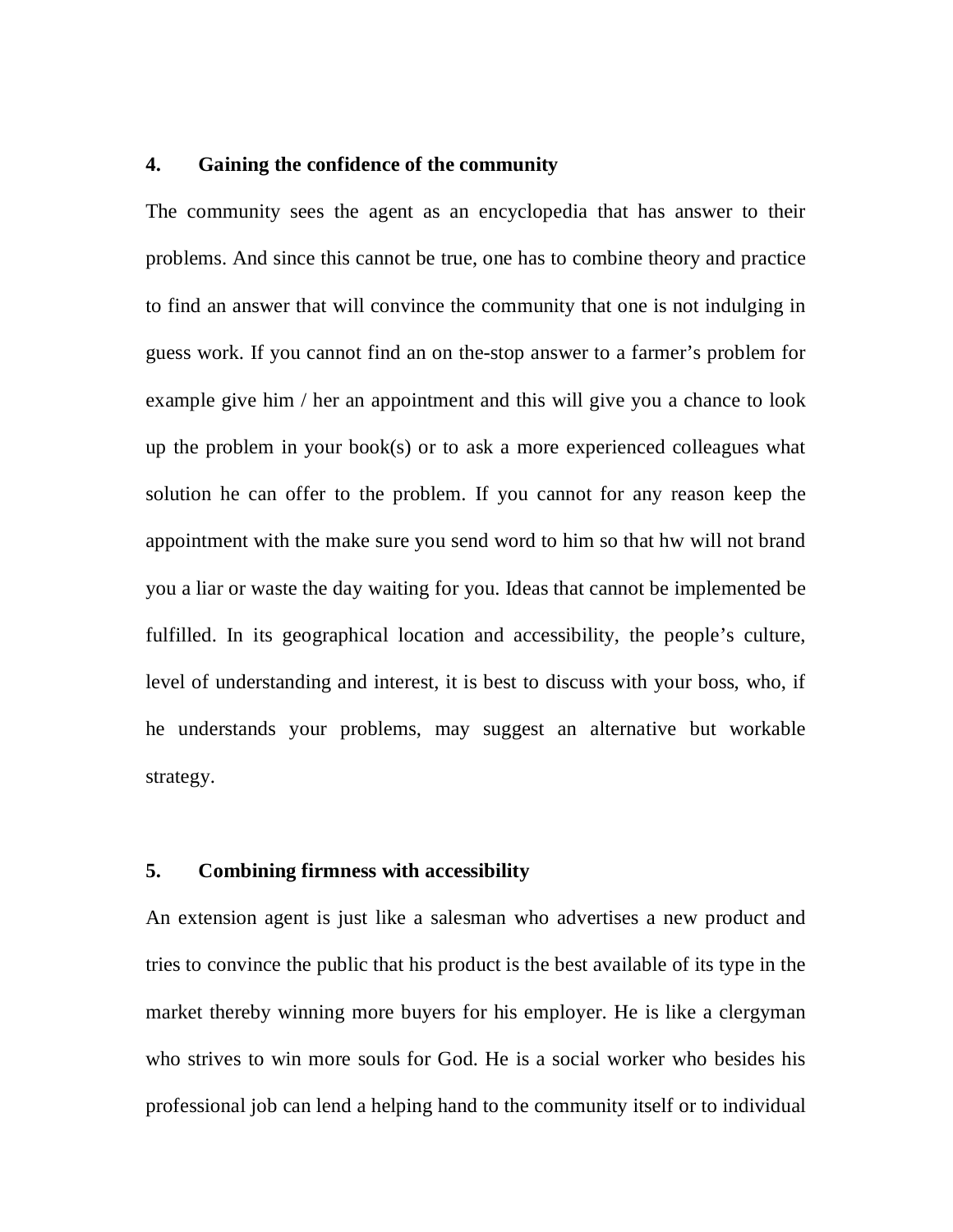# **4. Gaining the confidence of the community**

The community sees the agent as an encyclopedia that has answer to their problems. And since this cannot be true, one has to combine theory and practice to find an answer that will convince the community that one is not indulging in guess work. If you cannot find an on the-stop answer to a farmer's problem for example give him / her an appointment and this will give you a chance to look up the problem in your book(s) or to ask a more experienced colleagues what solution he can offer to the problem. If you cannot for any reason keep the appointment with the make sure you send word to him so that hw will not brand you a liar or waste the day waiting for you. Ideas that cannot be implemented be fulfilled. In its geographical location and accessibility, the people's culture, level of understanding and interest, it is best to discuss with your boss, who, if he understands your problems, may suggest an alternative but workable strategy.

# **5. Combining firmness with accessibility**

An extension agent is just like a salesman who advertises a new product and tries to convince the public that his product is the best available of its type in the market thereby winning more buyers for his employer. He is like a clergyman who strives to win more souls for God. He is a social worker who besides his professional job can lend a helping hand to the community itself or to individual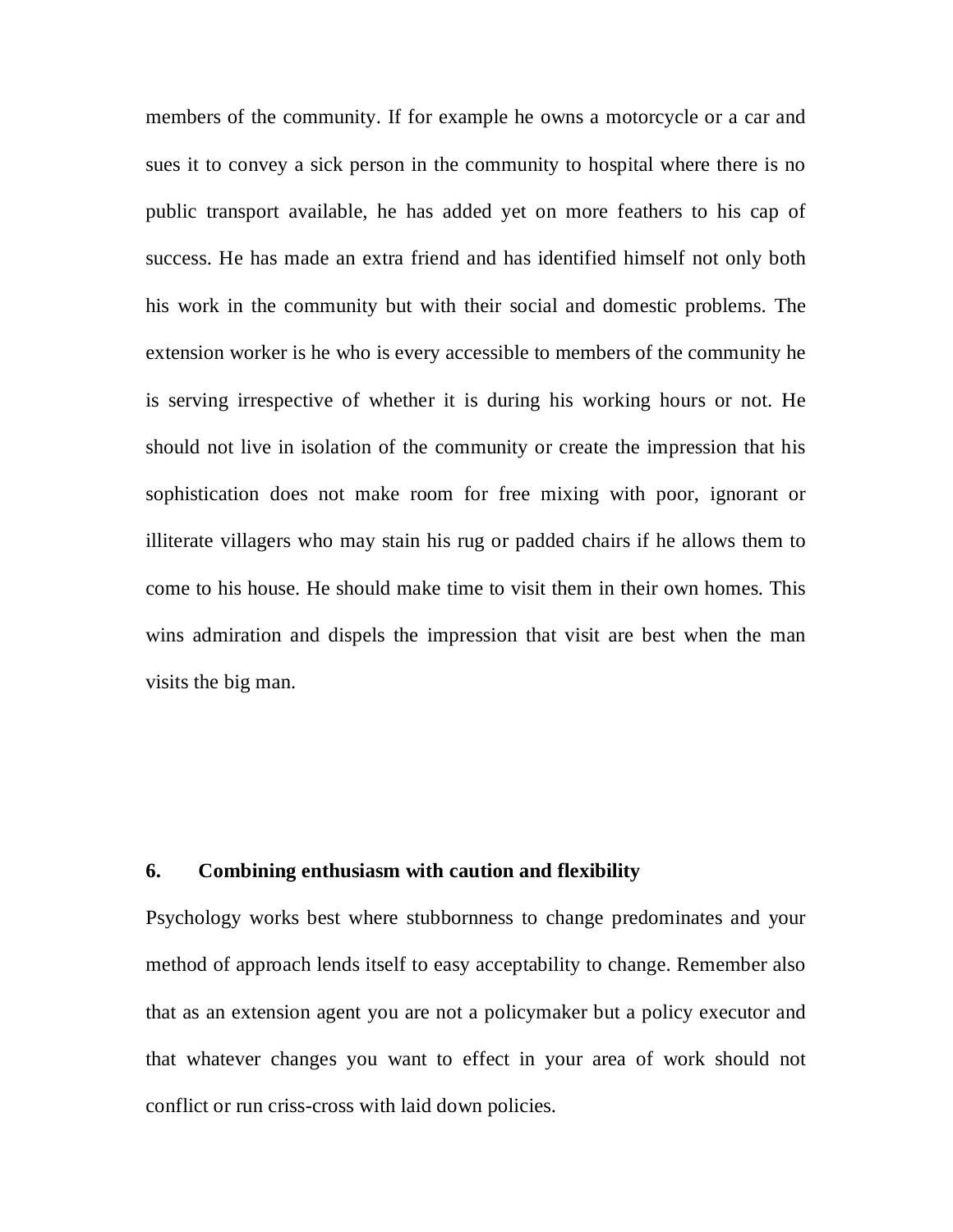members of the community. If for example he owns a motorcycle or a car and sues it to convey a sick person in the community to hospital where there is no public transport available, he has added yet on more feathers to his cap of success. He has made an extra friend and has identified himself not only both his work in the community but with their social and domestic problems. The extension worker is he who is every accessible to members of the community he is serving irrespective of whether it is during his working hours or not. He should not live in isolation of the community or create the impression that his sophistication does not make room for free mixing with poor, ignorant or illiterate villagers who may stain his rug or padded chairs if he allows them to come to his house. He should make time to visit them in their own homes. This wins admiration and dispels the impression that visit are best when the man visits the big man.

# **6. Combining enthusiasm with caution and flexibility**

Psychology works best where stubbornness to change predominates and your method of approach lends itself to easy acceptability to change. Remember also that as an extension agent you are not a policymaker but a policy executor and that whatever changes you want to effect in your area of work should not conflict or run criss-cross with laid down policies.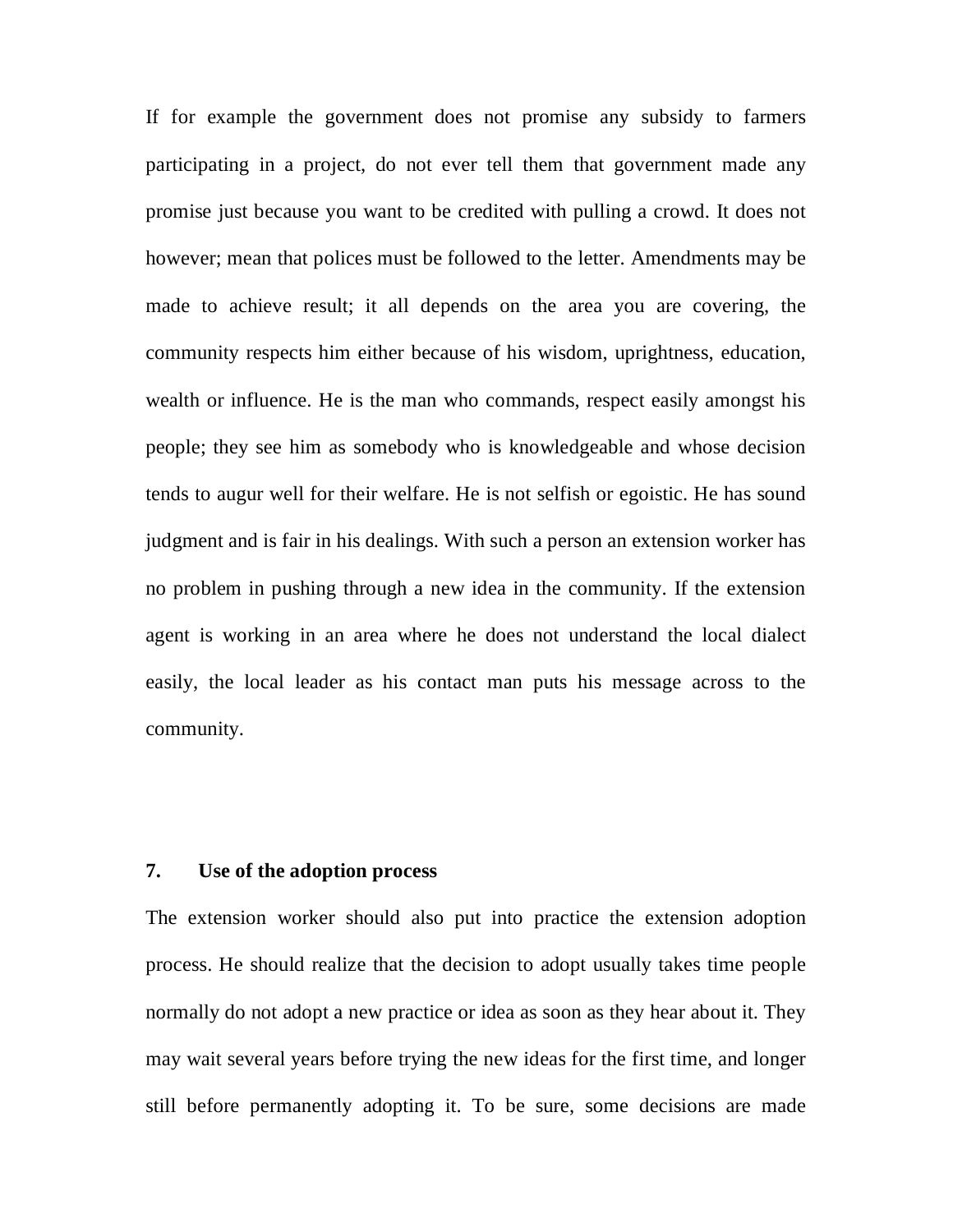If for example the government does not promise any subsidy to farmers participating in a project, do not ever tell them that government made any promise just because you want to be credited with pulling a crowd. It does not however; mean that polices must be followed to the letter. Amendments may be made to achieve result; it all depends on the area you are covering, the community respects him either because of his wisdom, uprightness, education, wealth or influence. He is the man who commands, respect easily amongst his people; they see him as somebody who is knowledgeable and whose decision tends to augur well for their welfare. He is not selfish or egoistic. He has sound judgment and is fair in his dealings. With such a person an extension worker has no problem in pushing through a new idea in the community. If the extension agent is working in an area where he does not understand the local dialect easily, the local leader as his contact man puts his message across to the community.

# **7. Use of the adoption process**

The extension worker should also put into practice the extension adoption process. He should realize that the decision to adopt usually takes time people normally do not adopt a new practice or idea as soon as they hear about it. They may wait several years before trying the new ideas for the first time, and longer still before permanently adopting it. To be sure, some decisions are made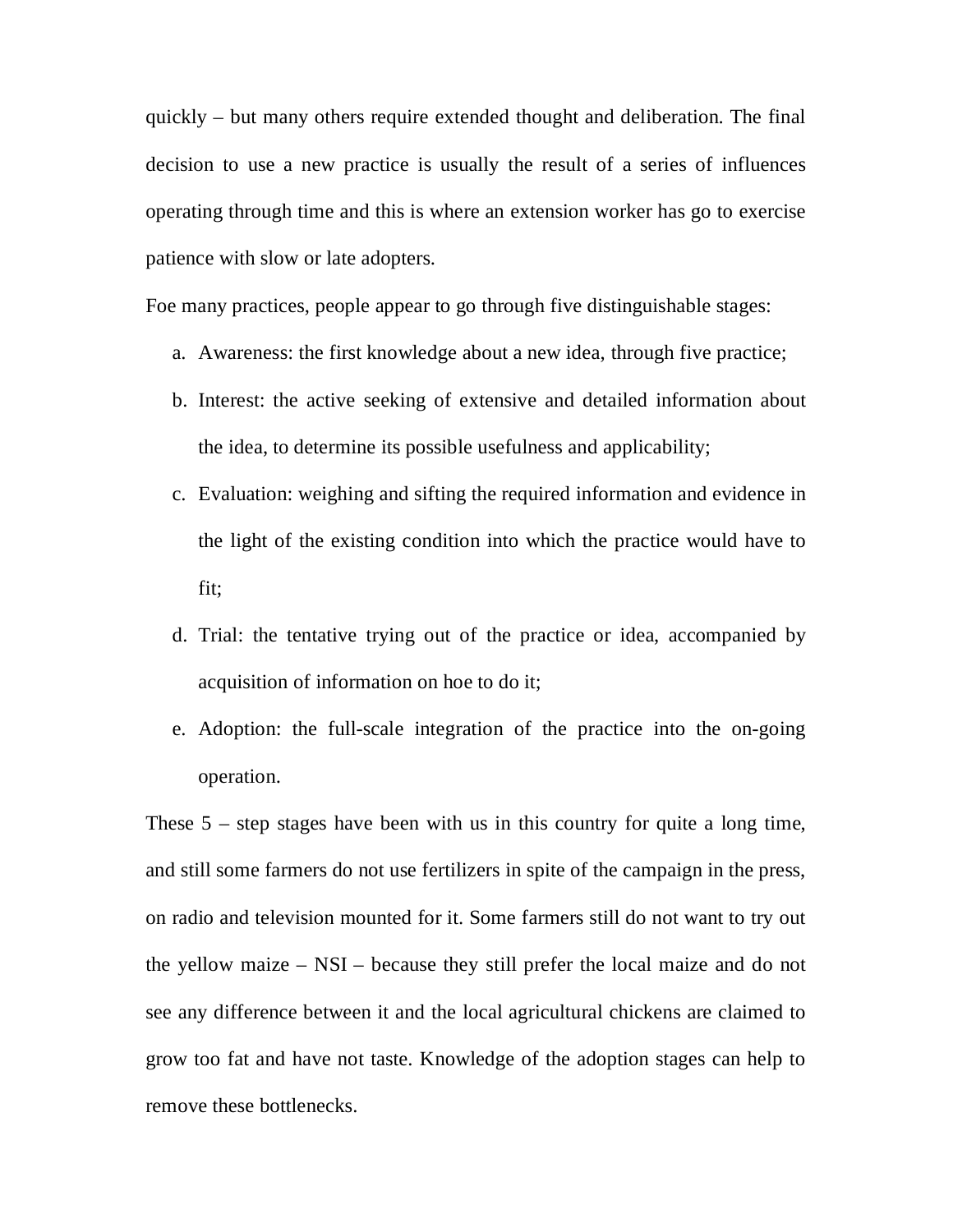quickly – but many others require extended thought and deliberation. The final decision to use a new practice is usually the result of a series of influences operating through time and this is where an extension worker has go to exercise patience with slow or late adopters.

Foe many practices, people appear to go through five distinguishable stages:

- a. Awareness: the first knowledge about a new idea, through five practice;
- b. Interest: the active seeking of extensive and detailed information about the idea, to determine its possible usefulness and applicability;
- c. Evaluation: weighing and sifting the required information and evidence in the light of the existing condition into which the practice would have to fit;
- d. Trial: the tentative trying out of the practice or idea, accompanied by acquisition of information on hoe to do it;
- e. Adoption: the full-scale integration of the practice into the on-going operation.

These  $5 -$  step stages have been with us in this country for quite a long time, and still some farmers do not use fertilizers in spite of the campaign in the press, on radio and television mounted for it. Some farmers still do not want to try out the yellow maize – NSI – because they still prefer the local maize and do not see any difference between it and the local agricultural chickens are claimed to grow too fat and have not taste. Knowledge of the adoption stages can help to remove these bottlenecks.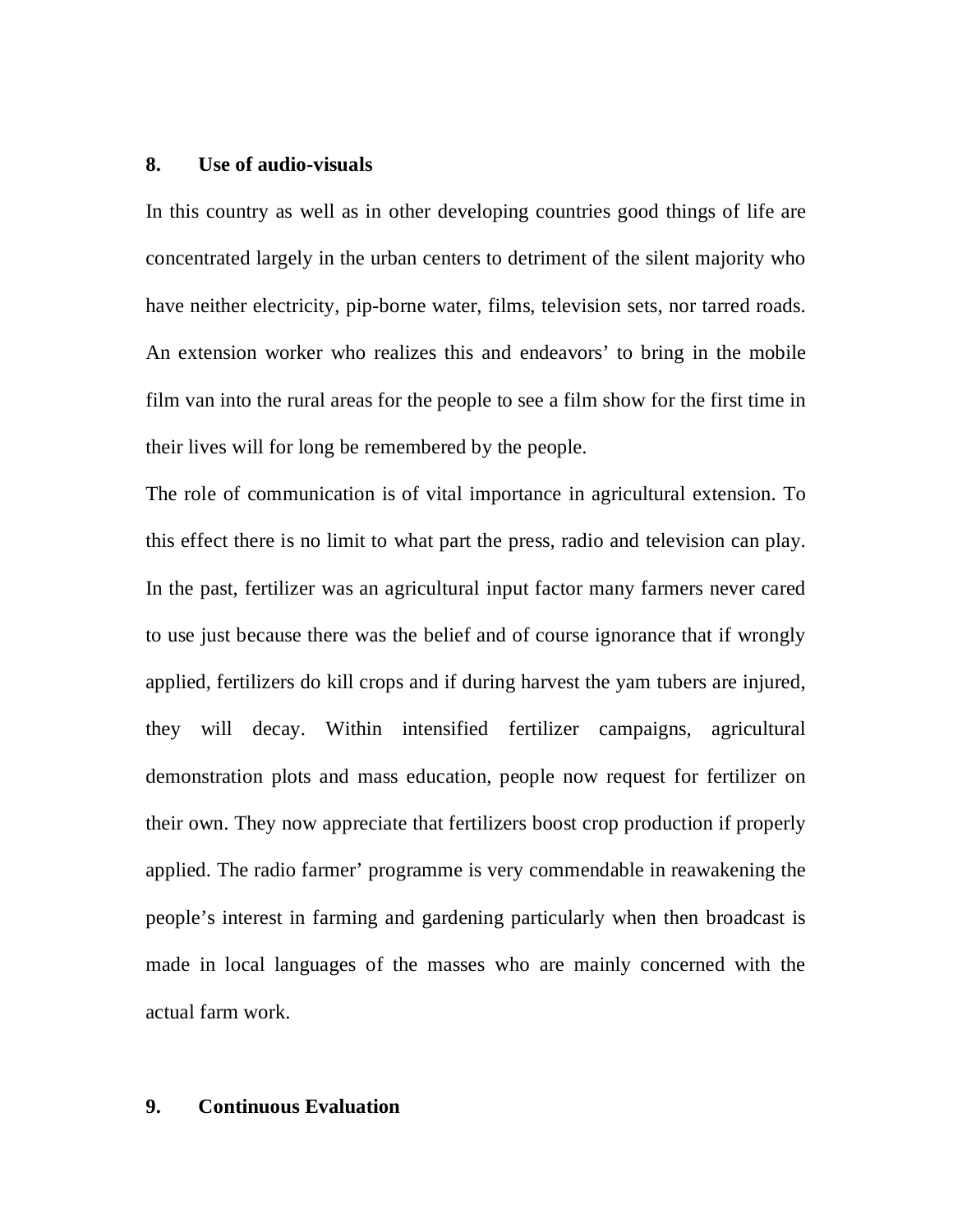# **8. Use of audio-visuals**

In this country as well as in other developing countries good things of life are concentrated largely in the urban centers to detriment of the silent majority who have neither electricity, pip-borne water, films, television sets, nor tarred roads. An extension worker who realizes this and endeavors' to bring in the mobile film van into the rural areas for the people to see a film show for the first time in their lives will for long be remembered by the people.

The role of communication is of vital importance in agricultural extension. To this effect there is no limit to what part the press, radio and television can play. In the past, fertilizer was an agricultural input factor many farmers never cared to use just because there was the belief and of course ignorance that if wrongly applied, fertilizers do kill crops and if during harvest the yam tubers are injured, they will decay. Within intensified fertilizer campaigns, agricultural demonstration plots and mass education, people now request for fertilizer on their own. They now appreciate that fertilizers boost crop production if properly applied. The radio farmer' programme is very commendable in reawakening the people's interest in farming and gardening particularly when then broadcast is made in local languages of the masses who are mainly concerned with the actual farm work.

# **9. Continuous Evaluation**